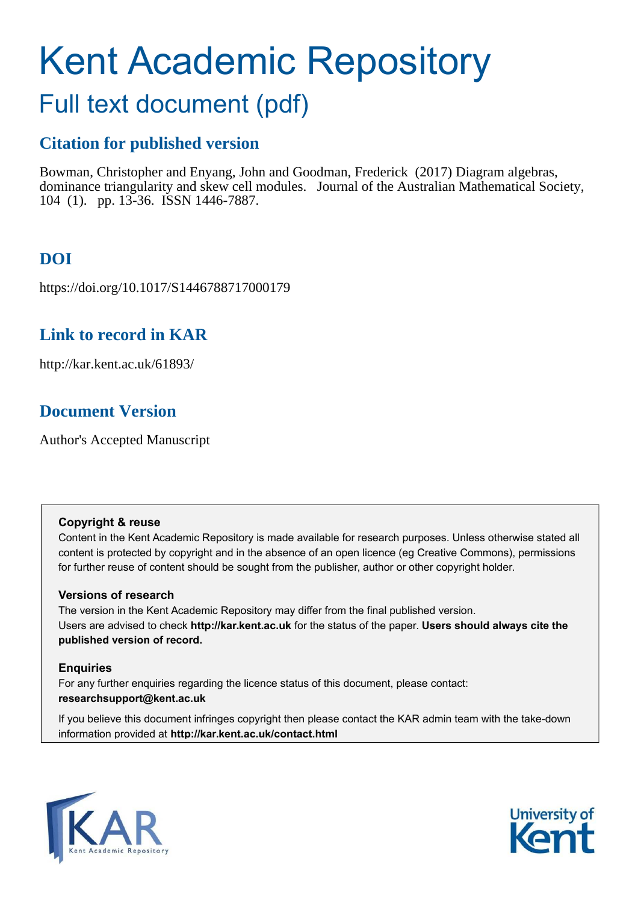# Kent Academic Repository

## Full text document (pdf)

## **Citation for published version**

Bowman, Christopher and Enyang, John and Goodman, Frederick (2017) Diagram algebras, dominance triangularity and skew cell modules. Journal of the Australian Mathematical Society, 104 (1). pp. 13-36. ISSN 1446-7887.

## **DOI**

https://doi.org/10.1017/S1446788717000179

## **Link to record in KAR**

http://kar.kent.ac.uk/61893/

## **Document Version**

Author's Accepted Manuscript

#### **Copyright & reuse**

Content in the Kent Academic Repository is made available for research purposes. Unless otherwise stated all content is protected by copyright and in the absence of an open licence (eg Creative Commons), permissions for further reuse of content should be sought from the publisher, author or other copyright holder.

#### **Versions of research**

The version in the Kent Academic Repository may differ from the final published version. Users are advised to check **http://kar.kent.ac.uk** for the status of the paper. **Users should always cite the published version of record.**

#### **Enquiries**

For any further enquiries regarding the licence status of this document, please contact: **researchsupport@kent.ac.uk**

If you believe this document infringes copyright then please contact the KAR admin team with the take-down information provided at **http://kar.kent.ac.uk/contact.html**



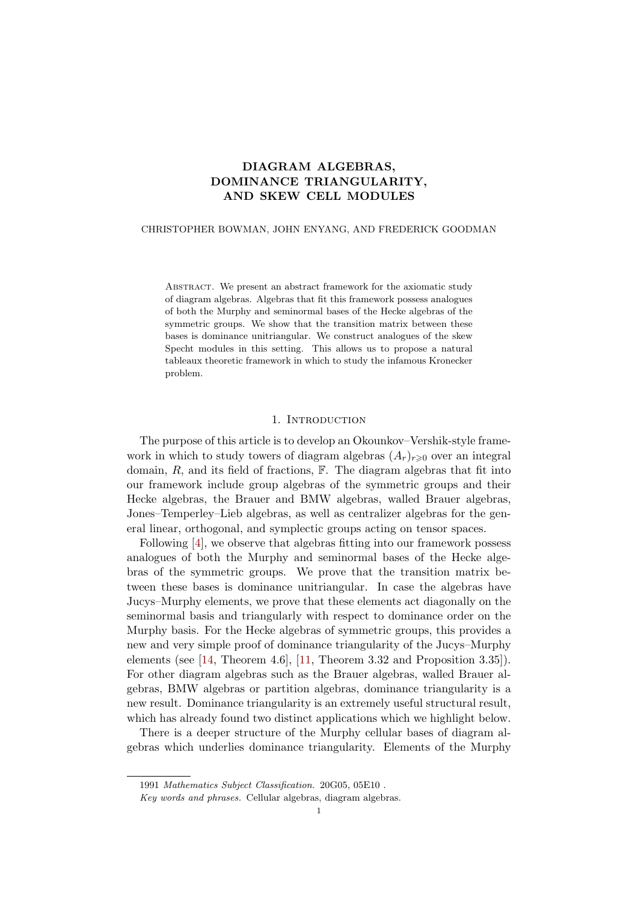#### DIAGRAM ALGEBRAS, DOMINANCE TRIANGULARITY, AND SKEW CELL MODULES

#### CHRISTOPHER BOWMAN, JOHN ENYANG, AND FREDERICK GOODMAN

Abstract. We present an abstract framework for the axiomatic study of diagram algebras. Algebras that fit this framework possess analogues of both the Murphy and seminormal bases of the Hecke algebras of the symmetric groups. We show that the transition matrix between these bases is dominance unitriangular. We construct analogues of the skew Specht modules in this setting. This allows us to propose a natural tableaux theoretic framework in which to study the infamous Kronecker problem.

#### 1. Introduction

The purpose of this article is to develop an Okounkov–Vershik-style framework in which to study towers of diagram algebras  $(A_r)_{r\geqslant0}$  over an integral domain,  $R$ , and its field of fractions,  $\mathbb{F}$ . The diagram algebras that fit into our framework include group algebras of the symmetric groups and their Hecke algebras, the Brauer and BMW algebras, walled Brauer algebras, Jones–Temperley–Lieb algebras, as well as centralizer algebras for the general linear, orthogonal, and symplectic groups acting on tensor spaces.

Following [\[4\]](#page-22-0), we observe that algebras fitting into our framework possess analogues of both the Murphy and seminormal bases of the Hecke algebras of the symmetric groups. We prove that the transition matrix between these bases is dominance unitriangular. In case the algebras have Jucys–Murphy elements, we prove that these elements act diagonally on the seminormal basis and triangularly with respect to dominance order on the Murphy basis. For the Hecke algebras of symmetric groups, this provides a new and very simple proof of dominance triangularity of the Jucys–Murphy elements (see [\[14,](#page-23-0) Theorem 4.6], [\[11,](#page-22-1) Theorem 3.32 and Proposition 3.35]). For other diagram algebras such as the Brauer algebras, walled Brauer algebras, BMW algebras or partition algebras, dominance triangularity is a new result. Dominance triangularity is an extremely useful structural result, which has already found two distinct applications which we highlight below.

There is a deeper structure of the Murphy cellular bases of diagram algebras which underlies dominance triangularity. Elements of the Murphy

<sup>1991</sup> Mathematics Subject Classification. 20G05, 05E10 .

Key words and phrases. Cellular algebras, diagram algebras.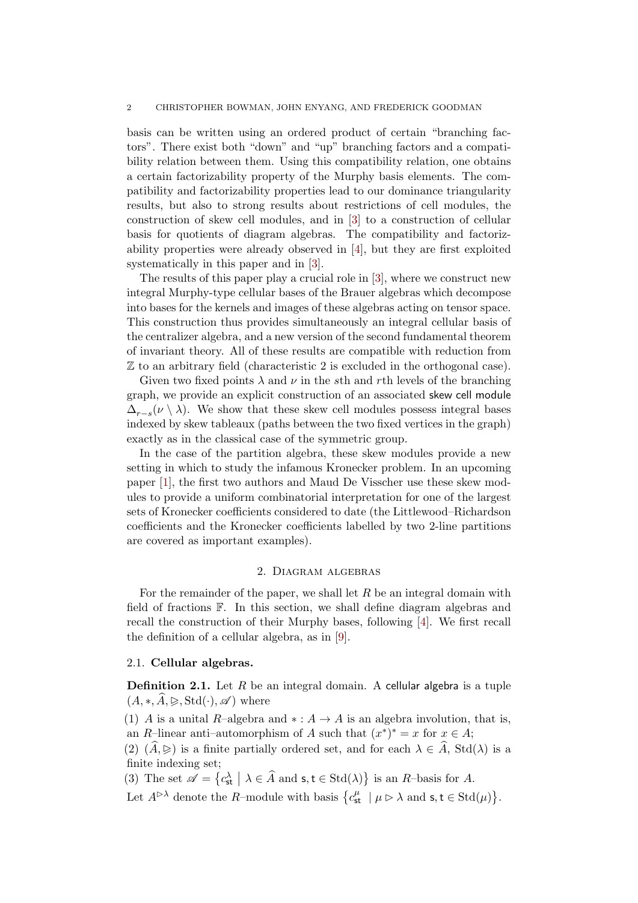<span id="page-2-0"></span>basis can be written using an ordered product of certain "branching factors". There exist both "down" and "up" branching factors and a compatibility relation between them. Using this compatibility relation, one obtains a certain factorizability property of the Murphy basis elements. The compatibility and factorizability properties lead to our dominance triangularity results, but also to strong results about restrictions of cell modules, the construction of skew cell modules, and in [\[3\]](#page-22-2) to a construction of cellular basis for quotients of diagram algebras. The compatibility and factorizability properties were already observed in  $[4]$ , but they are first exploited systematically in this paper and in [\[3\]](#page-22-2).

The results of this paper play a crucial role in [\[3\]](#page-22-2), where we construct new integral Murphy-type cellular bases of the Brauer algebras which decompose into bases for the kernels and images of these algebras acting on tensor space. This construction thus provides simultaneously an integral cellular basis of the centralizer algebra, and a new version of the second fundamental theorem of invariant theory. All of these results are compatible with reduction from Z to an arbitrary field (characteristic 2 is excluded in the orthogonal case).

Given two fixed points  $\lambda$  and  $\nu$  in the sth and rth levels of the branching graph, we provide an explicit construction of an associated skew cell module  $\Delta_{r-s}(\nu \setminus \lambda)$ . We show that these skew cell modules possess integral bases indexed by skew tableaux (paths between the two fixed vertices in the graph) exactly as in the classical case of the symmetric group.

In the case of the partition algebra, these skew modules provide a new setting in which to study the infamous Kronecker problem. In an upcoming paper [\[1\]](#page-22-3), the first two authors and Maud De Visscher use these skew modules to provide a uniform combinatorial interpretation for one of the largest sets of Kronecker coefficients considered to date (the Littlewood–Richardson coefficients and the Kronecker coefficients labelled by two 2-line partitions are covered as important examples).

#### 2. Diagram algebras

For the remainder of the paper, we shall let  $R$  be an integral domain with field of fractions F. In this section, we shall define diagram algebras and recall the construction of their Murphy bases, following [\[4\]](#page-22-0). We first recall the definition of a cellular algebra, as in [\[9\]](#page-22-4).

#### 2.1. Cellular algebras.

**Definition 2.1.** Let  $R$  be an integral domain. A cellular algebra is a tuple  $(A, *, A, \geq, \text{Std}(\cdot), \mathscr{A})$  where

(1) A is a unital R–algebra and  $\ast: A \to A$  is an algebra involution, that is, an R-linear anti-automorphism of A such that  $(x^*)^* = x$  for  $x \in A$ ;

(2)  $(\widehat{A}, \triangleright)$  is a finite partially ordered set, and for each  $\lambda \in \widehat{A}$ , Std( $\lambda$ ) is a finite indexing set;

(3) The set  $\mathscr{A} = \{c_{st}^{\lambda} \mid \lambda \in \widehat{A} \text{ and } s, t \in \text{Std}(\lambda)\}\$ is an R-basis for A.

Let  $A^{\triangleright \lambda}$  denote the R-module with basis  $\{c_{\mathsf{st}}^{\mu} \mid \mu \triangleright \lambda \text{ and } \mathsf{s}, \mathsf{t} \in \text{Std}(\mu)\}.$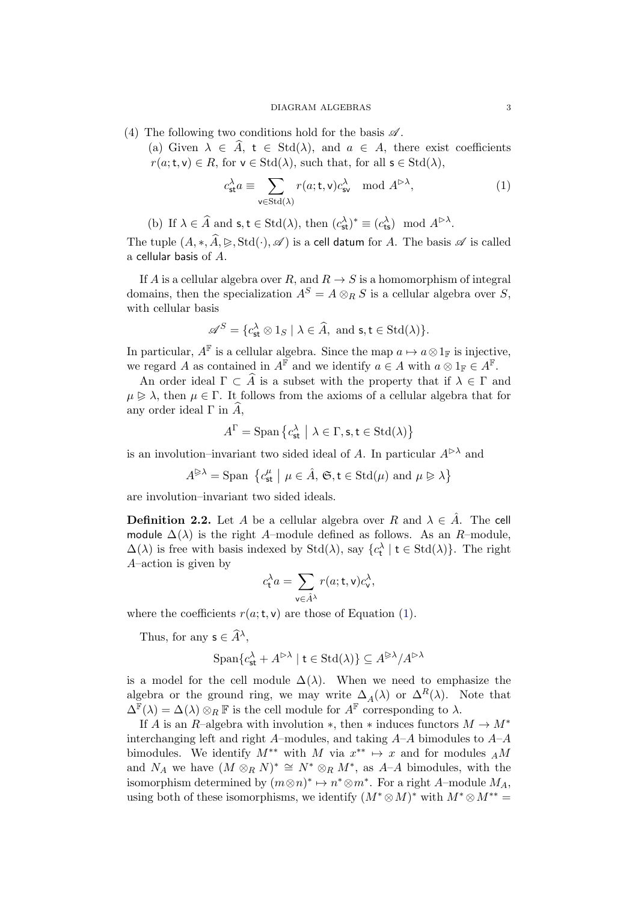#### DIAGRAM ALGEBRAS 3

- (4) The following two conditions hold for the basis  $\mathscr A$ .
	- (a) Given  $\lambda \in \hat{A}$ ,  $t \in \text{Std}(\lambda)$ , and  $a \in A$ , there exist coefficients  $r(a; t, v) \in R$ , for  $v \in \text{Std}(\lambda)$ , such that, for all  $s \in \text{Std}(\lambda)$ ,

$$
c_{\operatorname{st}}^{\lambda} a \equiv \sum_{\mathsf{v} \in \operatorname{Std}(\lambda)} r(a; \mathsf{t}, \mathsf{v}) c_{\operatorname{sv}}^{\lambda} \mod A^{\triangleright \lambda},\tag{1}
$$

(b) If  $\lambda \in \widehat{A}$  and  $\mathsf{s}, \mathsf{t} \in \text{Std}(\lambda)$ , then  $(c^{\lambda}_{\mathsf{st}})^* \equiv (c^{\lambda}_{\mathsf{ts}}) \mod A^{\triangleright \lambda}$ .

The tuple  $(A, *, \hat{A}, \geq, \text{Std}(\cdot), \mathscr{A})$  is a cell datum for A. The basis  $\mathscr A$  is called a cellular basis of A.

If A is a cellular algebra over R, and  $R \to S$  is a homomorphism of integral domains, then the specialization  $A^S = A \otimes_R S$  is a cellular algebra over S. with cellular basis

<span id="page-3-2"></span>
$$
\mathscr{A}^S = \{c_{\mathsf{st}}^\lambda \otimes 1_S \mid \lambda \in \widehat{A}, \text{ and } \mathsf{s}, \mathsf{t} \in \text{Std}(\lambda)\}.
$$

In particular,  $A^{\mathbb{F}}$  is a cellular algebra. Since the map  $a \mapsto a \otimes 1_{\mathbb{F}}$  is injective, we regard A as contained in  $A^{\mathbb{F}}$  and we identify  $a \in A$  with  $a \otimes 1_{\mathbb{F}} \in A^{\mathbb{F}}$ .

An order ideal  $\Gamma \subset \widehat{A}$  is a subset with the property that if  $\lambda \in \Gamma$  and  $\mu \geq \lambda$ , then  $\mu \in \Gamma$ . It follows from the axioms of a cellular algebra that for any order ideal Γ in  $A$ ,

$$
A^{\Gamma} = \text{Span}\left\{c_{\mathsf{st}}^{\lambda} \mid \lambda \in \Gamma, \mathsf{s}, \mathsf{t} \in \text{Std}(\lambda)\right\}
$$

is an involution–invariant two sided ideal of A. In particular  $A^{\triangleright\lambda}$  and

$$
A^{\triangleright\lambda} = \text{Span} \{c_{\text{st}}^{\mu} \mid \mu \in \hat{A}, \mathfrak{S}, \mathsf{t} \in \text{Std}(\mu) \text{ and } \mu \triangleright \lambda\}
$$

<span id="page-3-0"></span>are involution–invariant two sided ideals.

**Definition 2.2.** Let A be a cellular algebra over R and  $\lambda \in A$ . The cell module  $\Delta(\lambda)$  is the right A–module defined as follows. As an R–module,  $\Delta(\lambda)$  is free with basis indexed by Std( $\lambda$ ), say  $\{c_t^{\lambda} \mid t \in \text{Std}(\lambda)\}\$ . The right A–action is given by

$$
c_{\mathsf{t}}^{\lambda} a = \sum_{\mathsf{v}\in \hat{A}^{\lambda}} r(a; \mathsf{t}, \mathsf{v}) c_{\mathsf{v}}^{\lambda},
$$

<span id="page-3-1"></span>where the coefficients  $r(a; t, v)$  are those of Equation [\(1\)](#page-2-0).

Thus, for any  $s \in \widehat{A}^{\lambda}$ ,

$$
\operatorname{Span}\{c_{\mathsf{st}}^{\lambda} + A^{\triangleright\lambda} \mid \mathsf{t} \in \operatorname{Std}(\lambda)\} \subseteq A^{\triangleright\lambda}/A^{\triangleright\lambda}
$$

is a model for the cell module  $\Delta(\lambda)$ . When we need to emphasize the algebra or the ground ring, we may write  $\Delta_A(\lambda)$  or  $\Delta^R(\lambda)$ . Note that  $\Delta^{\mathbb{F}}(\lambda) = \Delta(\lambda) \otimes_R \mathbb{F}$  is the cell module for  $A^{\mathbb{F}}$  corresponding to  $\lambda$ .

If A is an R–algebra with involution  $*$ , then  $*$  induces functors  $M \to M^*$ interchanging left and right A–modules, and taking  $A-A$  bimodules to  $A-A$ bimodules. We identify  $M^{**}$  with M via  $x^{**} \mapsto x$  and for modules  $_A M$ and  $N_A$  we have  $(M \otimes_R N)^* \cong N^* \otimes_R M^*$ , as  $A-A$  bimodules, with the isomorphism determined by  $(m \otimes n)^* \mapsto n^* \otimes m^*$ . For a right A–module  $M_A$ , using both of these isomorphisms, we identify  $(M^* \otimes M)^*$  with  $M^* \otimes M^{**} =$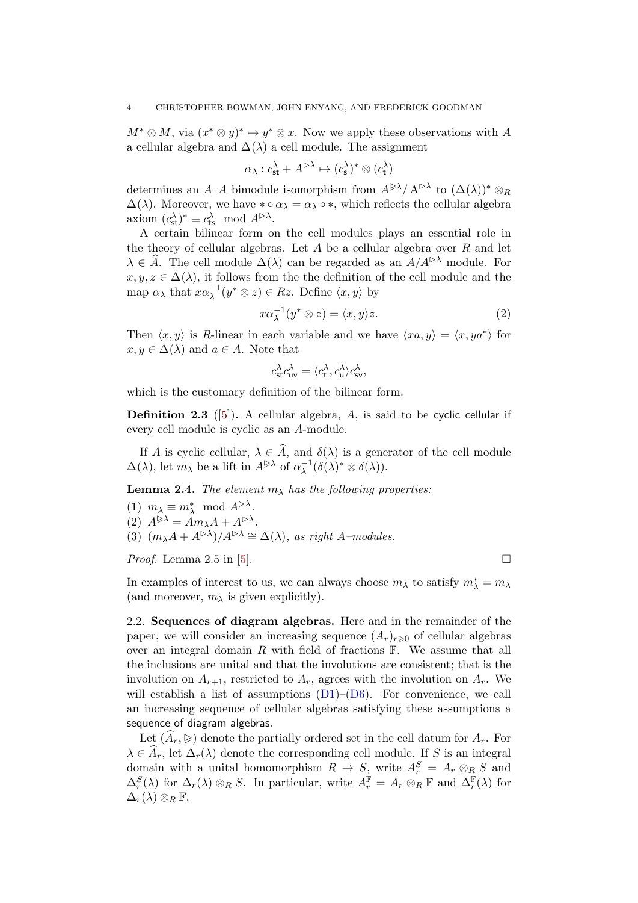$M^* \otimes M$ , via  $(x^* \otimes y)^* \mapsto y^* \otimes x$ . Now we apply these observations with A a cellular algebra and  $\Delta(\lambda)$  a cell module. The assignment

$$
\alpha_\lambda : c^\lambda_{\mathsf s \mathsf t} + A^{\rhd \lambda} \mapsto (c^\lambda_{\mathsf s})^* \otimes (c^\lambda_{\mathsf t})
$$

determines an A–A bimodule isomorphism from  $A^{\geq \lambda}/A^{\geq \lambda}$  to  $(\Delta(\lambda))^* \otimes_R$  $\Delta(\lambda)$ . Moreover, we have  $*\circ \alpha_{\lambda} = \alpha_{\lambda} \circ *$ , which reflects the cellular algebra axiom  $(c_{\text{st}}^{\lambda})^* \equiv c_{\text{ts}}^{\lambda} \mod A^{\triangleright \lambda}$ .

A certain bilinear form on the cell modules plays an essential role in the theory of cellular algebras. Let  $A$  be a cellular algebra over  $R$  and let  $\lambda \in \hat{A}$ . The cell module  $\Delta(\lambda)$  can be regarded as an  $A/A^{\triangleright\lambda}$  module. For  $x, y, z \in \Delta(\lambda)$ , it follows from the the definition of the cell module and the map  $\alpha_{\lambda}$  that  $x\alpha_{\lambda}^{-1}(y^*\otimes z)\in Rz$ . Define  $\langle x, y \rangle$  by

$$
x\alpha_{\lambda}^{-1}(y^* \otimes z) = \langle x, y \rangle z. \tag{2}
$$

Then  $\langle x, y \rangle$  is R-linear in each variable and we have  $\langle xa, y \rangle = \langle x, ya^* \rangle$  for  $x, y \in \Delta(\lambda)$  and  $a \in A$ . Note that

$$
c_{\rm st}^{\lambda} c_{\rm uv}^{\lambda} = \langle c_{\rm t}^{\lambda}, c_{\rm u}^{\lambda} \rangle c_{\rm sv}^{\lambda},
$$

which is the customary definition of the bilinear form.

**Definition 2.3** ([\[5\]](#page-22-5)). A cellular algebra, A, is said to be cyclic cellular if every cell module is cyclic as an A-module.

<span id="page-4-0"></span>If A is cyclic cellular,  $\lambda \in \widehat{A}$ , and  $\delta(\lambda)$  is a generator of the cell module  $\Delta(\lambda)$ , let  $m_{\lambda}$  be a lift in  $A^{\trianglerighteq \lambda}$  of  $\alpha_{\lambda}^{-1}(\delta(\lambda)^* \otimes \delta(\lambda)).$ 

**Lemma 2.4.** The element  $m_{\lambda}$  has the following properties:

(1)  $m_{\lambda} \equiv m_{\lambda}^* \mod A^{\triangleright \lambda}$ . (2)  $A^{\trianglerighteq \lambda} = \hat{A} m_{\lambda} A + A^{\triangleright \lambda}.$ (3)  $(m_{\lambda}A + A^{\triangleright \lambda})/A^{\triangleright \lambda} \cong \Delta(\lambda)$ , as right A-modules.

<span id="page-4-2"></span>*Proof.* Lemma 2.5 in [\[5\]](#page-22-5).

<span id="page-4-3"></span>In examples of interest to us, we can always choose  $m_\lambda$  to satisfy  $m_\lambda^*=m_\lambda$ (and moreover,  $m_{\lambda}$  is given explicitly).

<span id="page-4-1"></span>2.2. Sequences of diagram algebras. Here and in the remainder of the paper, we will consider an increasing sequence  $(A_r)_{r\geq 0}$  of cellular algebras over an integral domain  $R$  with field of fractions  $\mathbb F$ . We assume that all the inclusions are unital and that the involutions are consistent; that is the involution on  $A_{r+1}$ , restricted to  $A_r$ , agrees with the involution on  $A_r$ . We will establish a list of assumptions  $(D1)$ – $(D6)$ . For convenience, we call an increasing sequence of cellular algebras satisfying these assumptions a sequence of diagram algebras.

Let  $(\widehat{A}_r, \geqslant)$  denote the partially ordered set in the cell datum for  $A_r$ . For  $\lambda \in \hat{A}_r$ , let  $\Delta_r(\lambda)$  denote the corresponding cell module. If S is an integral domain with a unital homomorphism  $R \to S$ , write  $A_r^S = A_r \otimes_R S$  and  $\Delta_r^S(\lambda)$  for  $\Delta_r(\lambda) \otimes_R S$ . In particular, write  $A_r^{\mathbb{F}} = A_r \otimes_R \mathbb{F}$  and  $\Delta_r^{\mathbb{F}}(\lambda)$  for  $\Delta_r(\lambda) \otimes_R \mathbb{F}$ .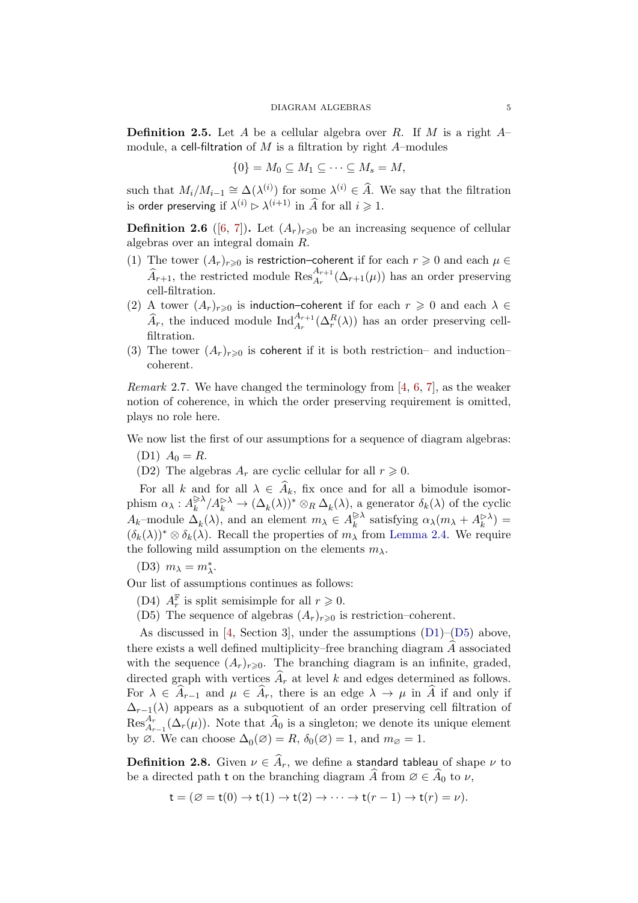**Definition 2.5.** Let A be a cellular algebra over R. If M is a right  $A$ module, a cell-filtration of  $M$  is a filtration by right  $A$ -modules

$$
\{0\} = M_0 \subseteq M_1 \subseteq \cdots \subseteq M_s = M,
$$

such that  $M_i/M_{i-1} \cong \Delta(\lambda^{(i)})$  for some  $\lambda^{(i)} \in \widehat{A}$ . We say that the filtration is order preserving if  $\lambda^{(i)} \triangleright \lambda^{(i+1)}$  in  $\widehat{A}$  for all  $i \geqslant 1$ .

**Definition 2.6** ([\[6,](#page-22-6) [7\]](#page-22-7)). Let  $(A_r)_{r\geqslant0}$  be an increasing sequence of cellular algebras over an integral domain R.

- <span id="page-5-1"></span>(1) The tower  $(A_r)_{r\geq 0}$  is restriction–coherent if for each  $r\geq 0$  and each  $\mu \in$  $\widehat{A}_{r+1}$ , the restricted module  $\text{Res}_{A_r}^{A_{r+1}}(\Delta_{r+1}(\mu))$  has an order preserving cell-filtration.
- (2) A tower  $(A_r)_{r\geq 0}$  is induction–coherent if for each  $r \geq 0$  and each  $\lambda \in$  $\widehat{A}_r$ , the induced module  $\text{Ind}_{A_r}^{A_{r+1}}(\Delta_r^R(\lambda))$  has an order preserving cellfiltration.
- (3) The tower  $(A_r)_{r\geqslant0}$  is coherent if it is both restriction- and inductioncoherent.

*Remark* 2.7. We have changed the terminology from  $[4, 6, 7]$  $[4, 6, 7]$  $[4, 6, 7]$  $[4, 6, 7]$ , as the weaker notion of coherence, in which the order preserving requirement is omitted, plays no role here.

We now list the first of our assumptions for a sequence of diagram algebras:

- (D1)  $A_0 = R$ .
- (D2) The algebras  $A_r$  are cyclic cellular for all  $r \geq 0$ .

For all k and for all  $\lambda \in \widehat{A}_k$ , fix once and for all a bimodule isomorphism  $\alpha_{\lambda}:A_k^{\triangleright\lambda}$  $\mathbb{R}^{\geq \lambda} \setminus A_k^{\geq \lambda} \to (\Delta_k(\lambda))^* \otimes_R \Delta_k(\lambda)$ , a generator  $\delta_k(\lambda)$  of the cyclic  $A_k$ –module  $\Delta_k(\lambda)$ , and an element  $m_\lambda \in A_k^{\geqslant \lambda}$  $\underset{k}{\triangleright}^{\lambda}$  satisfying  $\alpha_{\lambda}(m_{\lambda} + A_{k}^{\triangleright \lambda}) =$  $(\delta_k(\lambda))^* \otimes \delta_k(\lambda)$ . Recall the properties of  $m_\lambda$  from [Lemma 2.4.](#page-3-0) We require the following mild assumption on the elements  $m_{\lambda}$ .

(D3)  $m_{\lambda} = m_{\lambda}^*$ .

<span id="page-5-0"></span>Our list of assumptions continues as follows:

- <span id="page-5-2"></span>(D4)  $A_r^{\mathbb{F}}$  is split semisimple for all  $r \geq 0$ .
- <span id="page-5-3"></span>(D5) The sequence of algebras  $(A_r)_{r\geqslant 0}$  is restriction–coherent.

As discussed in [\[4,](#page-22-0) Section 3], under the assumptions [\(D1\)](#page-4-0)–[\(D5\)](#page-4-1) above, there exists a well defined multiplicity–free branching diagram  $A$  associated with the sequence  $(A_r)_{r\geq 0}$ . The branching diagram is an infinite, graded, directed graph with vertices  $\widehat{A}_r$  at level k and edges determined as follows. For  $\lambda \in \widehat{A}_{r-1}$  and  $\mu \in \widehat{A}_r$ , there is an edge  $\lambda \to \mu$  in  $\widehat{A}$  if and only if  $\Delta_{r-1}(\lambda)$  appears as a subquotient of an order preserving cell filtration of  $\text{Res}_{A_{r-1}}^{A_r}(\Delta_r(\mu))$ . Note that  $\widehat{A}_0$  is a singleton; we denote its unique element by  $\emptyset$ . We can choose  $\Delta_0(\emptyset) = R$ ,  $\delta_0(\emptyset) = 1$ , and  $m_{\emptyset} = 1$ .

**Definition 2.8.** Given  $\nu \in \widehat{A}_r$ , we define a standard tableau of shape  $\nu$  to be a directed path t on the branching diagram A from  $\emptyset \in A_0$  to  $\nu$ ,

 $t = (\emptyset = t(0) \rightarrow t(1) \rightarrow t(2) \rightarrow \cdots \rightarrow t(r-1) \rightarrow t(r) = \nu).$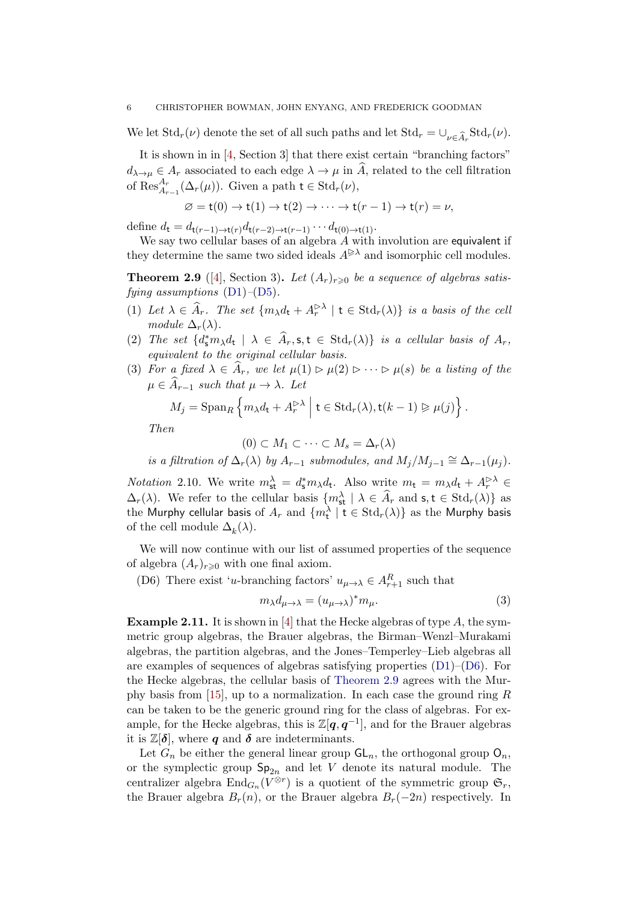We let  $\mathrm{Std}_r(\nu)$  denote the set of all such paths and let  $\mathrm{Std}_r = \cup_{\nu \in \widehat{A}_r} \mathrm{Std}_r(\nu)$ .

It is shown in in [\[4,](#page-22-0) Section 3] that there exist certain "branching factors"  $d_{\lambda\to\mu} \in A_r$  associated to each edge  $\lambda \to \mu$  in  $\widehat{A}$ , related to the cell filtration of  $\operatorname{Res}^{A_r}_{A_{r-1}}(\Delta_r(\mu))$ . Given a path  $t \in \operatorname{Std}_r(\nu)$ ,

$$
\varnothing = \mathsf{t}(0) \to \mathsf{t}(1) \to \mathsf{t}(2) \to \cdots \to \mathsf{t}(r-1) \to \mathsf{t}(r) = \nu,
$$

define  $d_{\mathbf{t}} = d_{\mathbf{t}(r-1)\rightarrow \mathbf{t}(r)}d_{\mathbf{t}(r-2)\rightarrow \mathbf{t}(r-1)}\cdots d_{\mathbf{t}(0)\rightarrow \mathbf{t}(1)}$ .

We say two cellular bases of an algebra  $\overrightarrow{A}$  with involution are equivalent if they determine the same two sided ideals  $A^{\triangleright\lambda}$  and isomorphic cell modules.

**Theorem 2.9** ([\[4\]](#page-22-0), Section 3). Let  $(A_r)_{r\geq 0}$  be a sequence of algebras satisfying assumptions  $(D1)$ – $(D5)$ .

- (1) Let  $\lambda \in \widehat{A}_r$ . The set  $\{m_{\lambda}d_t + A_r^{\triangleright\lambda} \mid t \in \text{Std}_r(\lambda)\}\$ is a basis of the cell module  $\Delta_r(\lambda)$ .
- <span id="page-6-3"></span>(2) The set  $\{d_s^* m_{\lambda} d_t \mid \lambda \in \hat{A}_r, s, t \in \text{Std}_r(\lambda)\}\$ is a cellular basis of  $A_r$ , equivalent to the original cellular basis.
- (3) For a fixed  $\lambda \in \hat{A}_r$ , we let  $\mu(1) \triangleright \mu(2) \triangleright \cdots \triangleright \mu(s)$  be a listing of the  $\mu \in \widehat{A}_{r-1}$  such that  $\mu \to \lambda$ . Let

$$
M_j = \operatorname{Span}_R \left\{ m_{\lambda} d_{\mathsf{t}} + A_r^{\rhd \lambda} \; \Big| \; {\mathsf{t}} \in \operatorname{Std}_r(\lambda), {\mathsf{t}}(k-1) \vartriangleright \mu(j) \right\}.
$$

Then

<span id="page-6-1"></span><span id="page-6-0"></span>
$$
(0) \subset M_1 \subset \cdots \subset M_s = \Delta_r(\lambda)
$$

is a filtration of  $\Delta_r(\lambda)$  by  $A_{r-1}$  submodules, and  $M_j/M_{j-1} \cong \Delta_{r-1}(\mu_j)$ .

*Notation* 2.10. We write  $m_{\text{st}}^{\lambda} = d_{\text{s}}^* m_{\lambda} d_{\text{t}}$ . Also write  $m_{\text{t}} = m_{\lambda} d_{\text{t}} + A_r^{\triangleright \lambda} \in$  $\Delta_r(\lambda)$ . We refer to the cellular basis  $\{m_{st}^{\lambda} \mid \lambda \in \widehat{A}_r \text{ and } s, t \in \text{Std}_r(\lambda)\}\$ as the Murphy cellular basis of  $A_r$  and  $\{m_\mathbf{t}^\lambda\mid \mathsf{t}\in \mathrm{Std}_r(\lambda)\}$  as the Murphy basis of the cell module  $\Delta_k(\lambda)$ .

We will now continue with our list of assumed properties of the sequence of algebra  $(A_r)_{r\geqslant 0}$  with one final axiom.

(D6) There exist 'u-branching factors'  $u_{\mu \to \lambda} \in A_{r+1}^R$  such that

$$
m_{\lambda}d_{\mu-\lambda} = (u_{\mu-\lambda})^* m_{\mu}.
$$
\n(3)

**Example 2.11.** It is shown in [\[4\]](#page-22-0) that the Hecke algebras of type  $A$ , the symmetric group algebras, the Brauer algebras, the Birman–Wenzl–Murakami algebras, the partition algebras, and the Jones–Temperley–Lieb algebras all are examples of sequences of algebras satisfying properties [\(D1\)](#page-4-0)–[\(D6\)](#page-5-0). For the Hecke algebras, the cellular basis of [Theorem 2.9](#page-5-1) agrees with the Mur-phy basis from [\[15\]](#page-23-1), up to a normalization. In each case the ground ring  $R$ can be taken to be the generic ground ring for the class of algebras. For example, for the Hecke algebras, this is  $\mathbb{Z}[q, q^{-1}]$ , and for the Brauer algebras it is  $\mathbb{Z}[\boldsymbol{\delta}]$ , where **q** and  $\boldsymbol{\delta}$  are indeterminants.

<span id="page-6-2"></span>Let  $G_n$  be either the general linear group  $GL_n$ , the orthogonal group  $O_n$ , or the symplectic group  $Sp_{2n}$  and let V denote its natural module. The centralizer algebra  $\text{End}_{G_n}(V^{\otimes r})$  is a quotient of the symmetric group  $\mathfrak{S}_r$ , the Brauer algebra  $B_r(n)$ , or the Brauer algebra  $B_r(-2n)$  respectively. In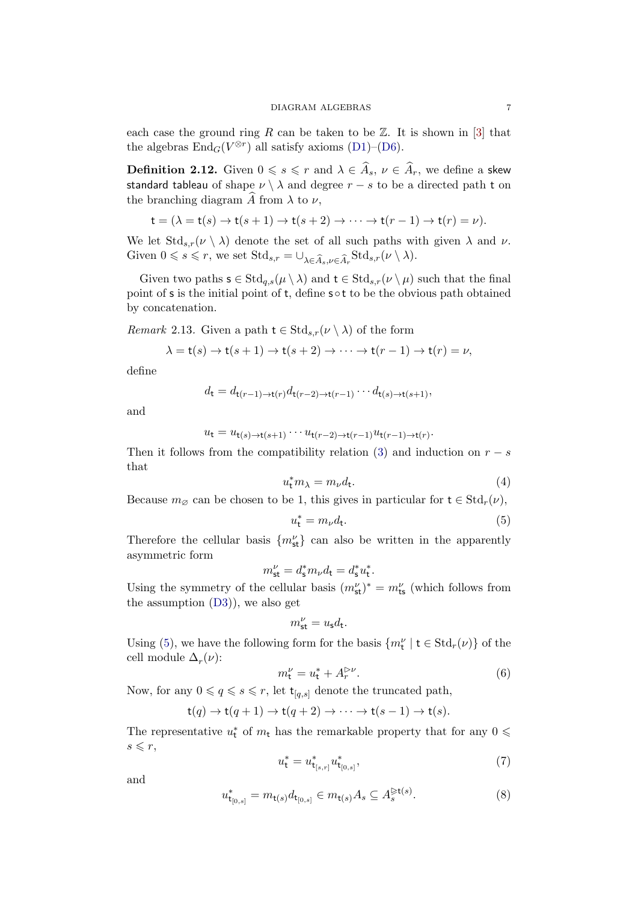each case the ground ring R can be taken to be  $\mathbb{Z}$ . It is shown in [\[3\]](#page-22-2) that the algebras  $\text{End}_G(V^{\otimes r})$  all satisfy axioms [\(D1\)](#page-4-0)–[\(D6\)](#page-5-0).

**Definition 2.12.** Given  $0 \le s \le r$  and  $\lambda \in \widehat{A}_s$ ,  $\nu \in \widehat{A}_r$ , we define a skew standard tableau of shape  $\nu \setminus \lambda$  and degree  $r - s$  to be a directed path t on the branching diagram  $\widehat{A}$  from  $\lambda$  to  $\nu$ ,

 $t = (\lambda = t(s) \rightarrow t(s+1) \rightarrow t(s+2) \rightarrow \cdots \rightarrow t(r-1) \rightarrow t(r) = \nu).$ 

<span id="page-7-1"></span>We let  $\text{Std}_{s,r}(\nu \setminus \lambda)$  denote the set of all such paths with given  $\lambda$  and  $\nu$ . Given  $0 \le s \le r$ , we set  $\text{Std}_{s,r} = \bigcup_{\lambda \in \widehat{A}_s, \nu \in \widehat{A}_r} \text{Std}_{s,r}(\nu \setminus \lambda).$ 

<span id="page-7-2"></span>Given two paths  $s \in \text{Std}_{q,s}(\mu \setminus \lambda)$  and  $t \in \text{Std}_{s,r}(\nu \setminus \mu)$  such that the final point of s is the initial point of t, define s∘t to be the obvious path obtained by concatenation.

*Remark* 2.13. Given a path  $t \in Std_{s,r}(\nu \setminus \lambda)$  of the form

$$
\lambda = \mathsf{t}(s) \to \mathsf{t}(s+1) \to \mathsf{t}(s+2) \to \cdots \to \mathsf{t}(r-1) \to \mathsf{t}(r) = \nu,
$$

define

$$
d_{\mathbf{t}} = d_{\mathbf{t}(r-1)\to \mathbf{t}(r)} d_{\mathbf{t}(r-2)\to \mathbf{t}(r-1)} \cdots d_{\mathbf{t}(s)\to \mathbf{t}(s+1)},
$$

and

$$
u_{\mathsf{t}} = u_{\mathsf{t}(s) \to \mathsf{t}(s+1)} \cdots u_{\mathsf{t}(r-2) \to \mathsf{t}(r-1)} u_{\mathsf{t}(r-1) \to \mathsf{t}(r)}.
$$

Then it follows from the compatibility relation [\(3\)](#page-5-2) and induction on  $r - s$ that

$$
u_t^* m_\lambda = m_\nu d_t. \tag{4}
$$

Because  $m_{\emptyset}$  can be chosen to be 1, this gives in particular for  $t \in Std_r(\nu)$ ,

$$
u_t^* = m_\nu d_t. \tag{5}
$$

Therefore the cellular basis  $\{m_{st}^{\nu}\}\$  can also be written in the apparently asymmetric form

$$
m_{\rm st}^{\nu} = d_{\rm s}^* m_{\nu} d_{\rm t} = d_{\rm s}^* u_{\rm t}^*.
$$

<span id="page-7-0"></span>Using the symmetry of the cellular basis  $(m_{st}^{\nu})^* = m_{ts}^{\nu}$  (which follows from the assumption [\(D3\)](#page-4-2)), we also get

$$
m_{\rm st}^{\nu} = u_{\rm s} d_{\rm t}.
$$

Using [\(5\)](#page-6-0), we have the following form for the basis  $\{m_t^{\nu} \mid t \in \text{Std}_r(\nu)\}\$  of the cell module  $\Delta_r(\nu)$ :

$$
m_{\mathsf{t}}^{\nu} = u_{\mathsf{t}}^* + A_r^{\rhd \nu}.\tag{6}
$$

Now, for any  $0 \leqslant q \leqslant s \leqslant r$ , let  $\mathsf{t}_{[q,s]}$  denote the truncated path,

$$
\mathsf{t}(q) \to \mathsf{t}(q+1) \to \mathsf{t}(q+2) \to \cdots \to \mathsf{t}(s-1) \to \mathsf{t}(s).
$$

The representative  $u_t^*$  of  $m_t$  has the remarkable property that for any  $0 \le$  $s \leqslant r$ ,

$$
u_{t}^{*} = u_{t_{[s,r]}}^{*} u_{t_{[0,s]}}^{*},
$$
\n<sup>(7)</sup>

and

$$
u_{t_{[0,s]}}^* = m_{t(s)} d_{t_{[0,s]}} \in m_{t(s)} A_s \subseteq A_s^{\triangleright t(s)}.
$$
\n(8)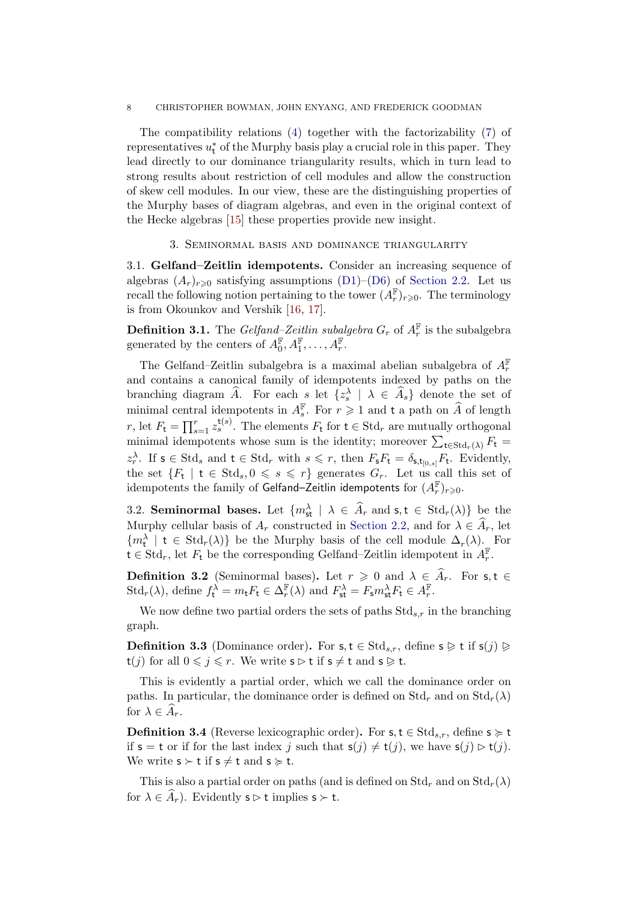<span id="page-8-0"></span>The compatibility relations [\(4\)](#page-6-1) together with the factorizability [\(7\)](#page-6-2) of representatives  $u_t^*$  of the Murphy basis play a crucial role in this paper. They lead directly to our dominance triangularity results, which in turn lead to strong results about restriction of cell modules and allow the construction of skew cell modules. In our view, these are the distinguishing properties of the Murphy bases of diagram algebras, and even in the original context of the Hecke algebras [\[15\]](#page-23-1) these properties provide new insight.

#### 3. Seminormal basis and dominance triangularity

3.1. Gelfand–Zeitlin idempotents. Consider an increasing sequence of algebras  $(A_r)_{r\geq 0}$  satisfying assumptions [\(D1\)](#page-4-0)–[\(D6\)](#page-5-0) of [Section 2.2.](#page-3-1) Let us recall the following notion pertaining to the tower  $(A_r^{\mathbb{F}})_{r\geqslant0}$ . The terminology is from Okounkov and Vershik [\[16,](#page-23-2) [17\]](#page-23-3).

**Definition 3.1.** The *Gelfand–Zeitlin subalgebra*  $G_r$  of  $A_r^{\mathbb{F}}$  is the subalgebra generated by the centers of  $A_0^{\mathbb{F}}, A_1^{\mathbb{F}}, \ldots, A_r^{\mathbb{F}}$ .

The Gelfand–Zeitlin subalgebra is a maximal abelian subalgebra of  $A_r^{\mathbb{F}}$ and contains a canonical family of idempotents indexed by paths on the branching diagram  $\widehat{A}$ . For each s let  $\{z_s^{\lambda} \mid \lambda \in \widehat{A}_s\}$  denote the set of minimal central idempotents in  $A_s^{\mathbb{F}}$ . For  $r \geq 1$  and t a path on  $\widehat{A}$  of length r, let  $F_t = \prod_{s=1}^r z_s^{\mathsf{t}(s)}$ . The elements  $F_t$  for  $\mathsf{t} \in \text{Std}_r$  are mutually orthogonal minimal idempotents whose sum is the identity; moreover  $\sum_{t \in \text{Std}_{r}(\lambda)} F_t =$  $z_r^{\lambda}$ . If  $s \in \text{Std}_s$  and  $t \in \text{Std}_r$  with  $s \leq r$ , then  $F_s F_t = \delta_{s, t_{[0,s]}} F_t$ . Evidently, the set  $\{F_t \mid t \in \text{Std}_s, 0 \leq s \leq r\}$  generates  $G_r$ . Let us call this set of idempotents the family of **Gelfand–Zeitlin idempotents** for  $(A_r^{\mathbb{F}})_{r \geqslant 0}.$ 

3.2. Seminormal bases. Let  $\{m_{st}^{\lambda} \mid \lambda \in \hat{A}_r \text{ and } s, t \in \text{Std}_r(\lambda)\}\$  be the Murphy cellular basis of  $A_r$  constructed in [Section 2.2,](#page-3-1) and for  $\lambda \in \widehat{A}_r$ , let  ${m_t^{\lambda}}$  | t ∈ Std<sub>r</sub>( $\lambda$ )} be the Murphy basis of the cell module  $\Delta_r(\lambda)$ . For  $\mathsf{t} \in \text{Std}_r$ , let  $F_{\mathsf{t}}$  be the corresponding Gelfand–Zeitlin idempotent in  $A_r^{\mathbb{F}}$ .

**Definition 3.2** (Seminormal bases). Let  $r \geq 0$  and  $\lambda \in \hat{A}_r$ . For s, t  $\in$  $\text{Std}_r(\lambda)$ , define  $f_t^{\lambda} = m_t F_t \in \Delta_r^{\mathbb{F}}(\lambda)$  and  $F_{\text{st}}^{\lambda} = F_{\text{s}} m_{\text{st}}^{\lambda} F_t \in A_r^{\mathbb{F}}$ .

We now define two partial orders the sets of paths  $Std_{s,r}$  in the branching graph.

**Definition 3.3** (Dominance order). For  $s, t \in \text{Std}_{s,r}$ , define  $s \geq t$  if  $s(j) \geq$  $t(j)$  for all  $0 \leq j \leq r$ . We write  $s \geq t$  if  $s \neq t$  and  $s \geq t$ .

This is evidently a partial order, which we call the dominance order on paths. In particular, the dominance order is defined on  $\mathrm{Std}_r$  and on  $\mathrm{Std}_r(\lambda)$ for  $\lambda \in \widehat{A}_r$ .

**Definition 3.4** (Reverse lexicographic order). For  $s, t \in Std_{s,r}$ , define  $s \geq t$ if  $s = t$  or if for the last index j such that  $s(j) \neq t(j)$ , we have  $s(j) \triangleright t(j)$ . We write  $s \succ t$  if  $s \neq t$  and  $s \succcurlyeq t$ .

<span id="page-8-1"></span>This is also a partial order on paths (and is defined on  $\mathrm{Std}_r$  and on  $\mathrm{Std}_r(\lambda)$ ) for  $\lambda \in \widehat{A}_r$ ). Evidently  $s \triangleright t$  implies  $s \succ t$ .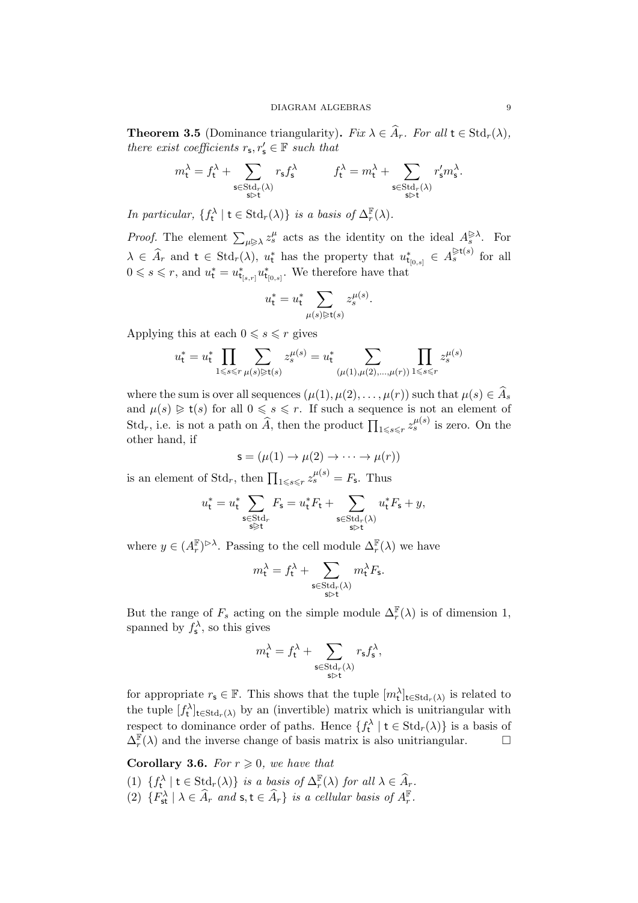**Theorem 3.5** (Dominance triangularity). Fix  $\lambda \in \widehat{A}_r$ . For all  $t \in \text{Std}_r(\lambda)$ , there exist coefficients  $r_s, r'_s \in \mathbb{F}$  such that

$$
m^\lambda_{\mathsf{t}} = f^\lambda_{\mathsf{t}} + \sum_{\substack{\mathsf{s}\in \mathrm{Std}_r(\lambda)\\ \mathsf{s}\rhd \mathsf{t}}} r_\mathsf{s} f^\lambda_{\mathsf{s}} ~~ f^\lambda_{\mathsf{t}} = m^\lambda_{\mathsf{t}} + \sum_{\substack{\mathsf{s}\in \mathrm{Std}_r(\lambda)\\ \mathsf{s}\rhd \mathsf{t}}} r'_\mathsf{s} m^\lambda_{\mathsf{s}}.
$$

<span id="page-9-0"></span>In particular,  $\{f_t^{\lambda} \mid t \in \text{Std}_r(\lambda)\}\$ is a basis of  $\Delta_r^{\mathbb{F}}(\lambda)$ .

*Proof.* The element  $\sum_{\mu \geqslant \lambda} z_s^{\mu}$  acts as the identity on the ideal  $A_s^{\geqslant \lambda}$ . For  $\lambda \in \hat{A}_r$  and  $t \in \text{Std}_r(\lambda)$ ,  $u_t^*$  has the property that  $u_{t_{[0,s]}}^* \in A_s^{\geq t(s)}$  for all  $0 \le s \le r$ , and  $u_t^* = u_{\mathsf{t}_{[s,r]}}^* u_{\mathsf{t}_{[0,s]}}^*$ . We therefore have that

$$
u_{\mathsf{t}}^* = u_{\mathsf{t}}^*\sum_{\mu(s)\triangleright \mathsf{t}(s)} z_s^{\mu(s)}
$$

.

Applying this at each  $0 \le s \le r$  gives

$$
u_{\mathsf{t}}^* = u_{\mathsf{t}}^*\prod_{1\leqslant s\leqslant r}\sum_{\mu(s)\triangleright \mathsf{t}(s)} z_s^{\mu(s)} = u_{\mathsf{t}}^*\sum_{(\mu(1),\mu(2),\ldots, \mu(r))} \prod_{1\leqslant s\leqslant r} z_s^{\mu(s)}
$$

where the sum is over all sequences  $(\mu(1), \mu(2), \ldots, \mu(r))$  such that  $\mu(s) \in \widehat{A}_s$ and  $\mu(s) \geq t(s)$  for all  $0 \leq s \leq r$ . If such a sequence is not an element of Std<sub>r</sub>, i.e. is not a path on  $\widehat{A}$ , then the product  $\prod_{1 \leq s \leq r} z_s^{\mu(s)}$  is zero. On the other hand, if

$$
\mathsf{s} = (\mu(1) \to \mu(2) \to \cdots \to \mu(r))
$$

is an element of  $\text{Std}_r$ , then  $\prod_{1 \leq s \leq r} z_s^{\mu(s)} = F_s$ . Thus

$$
u_{\mathsf{t}}^* = u_{\mathsf{t}}^*\sum_{\substack{\mathsf{s}\in \mathrm{Std}_r \\ \mathsf{s}\vartriangleright \mathsf{t}}} F_{\mathsf{s}} = u_{\mathsf{t}}^*F_{\mathsf{t}} + \sum_{\substack{\mathsf{s}\in \mathrm{Std}_r(\lambda) \\ \mathsf{s}\vartriangleright \mathsf{t}}} u_{\mathsf{t}}^*F_{\mathsf{s}} + y,
$$

where  $y \in (A_r^{\mathbb{F}})^{\triangleright \lambda}$ . Passing to the cell module  $\Delta_r^{\mathbb{F}}(\lambda)$  we have

$$
m_{\mathbf{t}}^{\lambda} = f_{\mathbf{t}}^{\lambda} + \sum_{\substack{\mathbf{s} \in \text{Std}_{r}(\lambda) \\ \mathbf{s} \rhd \mathbf{t}}} m_{\mathbf{t}}^{\lambda} F_{\mathbf{s}}.
$$

But the range of  $F_s$  acting on the simple module  $\Delta_r^{\mathbb{F}}(\lambda)$  is of dimension 1, spanned by  $f_{\mathsf{s}}^{\lambda}$ , so this gives

$$
m^\lambda_{\mathsf{t}} = f^\lambda_{\mathsf{t}} + \sum_{\substack{\mathsf{s} \in \mathrm{Std}_r(\lambda) \\ \mathsf{s} \rhd \mathsf{t}}} r_{\mathsf{s}} f^\lambda_{\mathsf{s}},
$$

for appropriate  $r_{\mathsf{s}} \in \mathbb{F}$ . This shows that the tuple  $[m_{\mathsf{t}}^{\lambda}]_{\mathsf{t} \in \text{Std}_{r}(\lambda)}$  is related to the tuple  $[f_t^{\lambda}]_{t \in \text{Std}_r(\lambda)}$  by an (invertible) matrix which is unitriangular with respect to dominance order of paths. Hence  $\{f_t^{\lambda} \mid t \in \text{Std}_r(\lambda)\}\)$  is a basis of  $\Delta_r^{\mathbb{F}}(\lambda)$  and the inverse change of basis matrix is also unitriangular.  $\Box$ 

Corollary 3.6. For  $r \geq 0$ , we have that

- (1)  $\{f_t^{\lambda} \mid t \in \text{Std}_r(\lambda)\}\$ is a basis of  $\Delta_r^{\mathbb{F}}(\lambda)$  for all  $\lambda \in \widehat{A}_r$ .
- (2)  $\{F_{\mathsf{st}}^{\lambda} \mid \lambda \in \widehat{A}_r \text{ and } \mathsf{s}, \mathsf{t} \in \widehat{A}_r\} \text{ is a cellular basis of } A_r^{\mathbb{F}}.$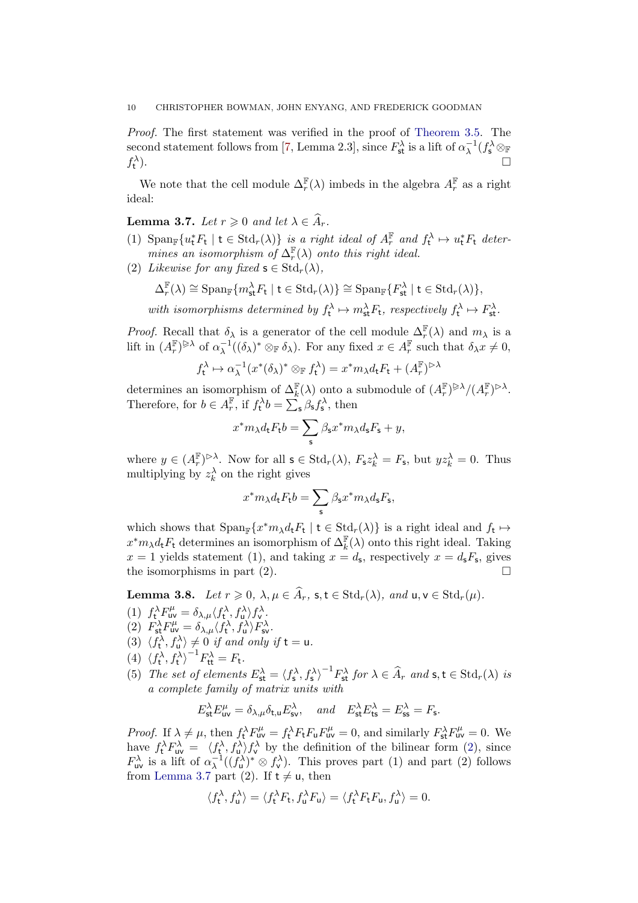Proof. The first statement was verified in the proof of [Theorem 3.5.](#page-8-0) The second statement follows from [\[7,](#page-22-7) Lemma 2.3], since  $F^{\lambda}_{\text{st}}$  is a lift of  $\alpha_{\lambda}^{-1}(f_{\text{s}}^{\lambda} \otimes_{\mathbb{F}}$  $f_{\mathsf{t}}^{\lambda}$ ).  $\Box$ 

We note that the cell module  $\Delta_r^{\mathbb{F}}(\lambda)$  imbeds in the algebra  $A_r^{\mathbb{F}}$  as a right ideal:

**Lemma 3.7.** Let  $r \geq 0$  and let  $\lambda \in \widehat{A}_r$ .

- (1)  $\text{Span}_{\mathbb{F}}\{u_t^*F_t \mid t \in \text{Std}_r(\lambda)\}\$ is a right ideal of  $A_r^{\mathbb{F}}$  and  $f_t^{\lambda} \mapsto u_t^*F_t$  determines an isomorphism of  $\Delta_r^{\mathbb{F}}(\lambda)$  onto this right ideal.
- (2) Likewise for any fixed  $s \in \text{Std}_r(\lambda)$ ,

$$
\Delta_r^{\mathbb{F}}(\lambda) \cong \mathrm{Span}_{\mathbb{F}}\{m_{\mathsf{st}}^{\lambda} F_{\mathsf{t}} \mid \mathsf{t} \in \mathrm{Std}_r(\lambda)\} \cong \mathrm{Span}_{\mathbb{F}}\{F_{\mathsf{st}}^{\lambda} \mid \mathsf{t} \in \mathrm{Std}_r(\lambda)\},
$$

<span id="page-10-0"></span>with isomorphisms determined by  $f_t^{\lambda} \mapsto m_{\text{st}}^{\lambda} F_t$ , respectively  $f_t^{\lambda} \mapsto F_{\text{st}}^{\lambda}$ .

*Proof.* Recall that  $\delta_{\lambda}$  is a generator of the cell module  $\Delta_r^{\mathbb{F}}(\lambda)$  and  $m_{\lambda}$  is a lift in  $(A_r^{\mathbb{F}})^{\geq \lambda}$  of  $\alpha_\lambda^{-1}((\delta_\lambda)^* \otimes_{\mathbb{F}} \delta_\lambda)$ . For any fixed  $x \in A_r^{\mathbb{F}}$  such that  $\delta_\lambda x \neq 0$ ,

$$
f_t^{\lambda} \mapsto \alpha_{\lambda}^{-1}(x^*(\delta_{\lambda})^* \otimes_{\mathbb{F}} f_t^{\lambda}) = x^* m_{\lambda} d_t F_t + (A_r^{\mathbb{F}})^{\triangleright \lambda}
$$

determines an isomorphism of  $\Delta_k^{\mathbb{F}}(\lambda)$  onto a submodule of  $(A_r^{\mathbb{F}})^{\geq \lambda}/(A_r^{\mathbb{F}})^{\geq \lambda}$ . Therefore, for  $b \in A_r^{\mathbb{F}}$ , if  $f_t^{\lambda}b = \sum_{s}^{\infty} \beta_s f_s^{\lambda}$ , then

$$
x^* m_\lambda d_{\mathsf{t}} F_{\mathsf{t}} b = \sum_{\mathsf{s}} \beta_{\mathsf{s}} x^* m_\lambda d_{\mathsf{s}} F_{\mathsf{s}} + y,
$$

where  $y \in (A_r^{\mathbb{F}})^{\triangleright \lambda}$ . Now for all  $\mathsf{s} \in \text{Std}_r(\lambda)$ ,  $F_{\mathsf{s}} z_k^{\lambda} = F_{\mathsf{s}}$ , but  $yz_k^{\lambda} = 0$ . Thus multiplying by  $z_k^{\lambda}$  on the right gives

$$
x^*m_\lambda d_{\textbf{t}} F_{\textbf{t}}b = \sum_{\textbf{s}} \beta_{\textbf{s}} x^*m_\lambda d_{\textbf{s}} F_{\textbf{s}},
$$

which shows that  $\text{Span}_{\mathbb{F}}\{x^*m_\lambda d_t F_t \mid t \in \text{Std}_r(\lambda)\}\$ is a right ideal and  $f_t \mapsto$  $x^*m_{\lambda}d_tF_t$  determines an isomorphism of  $\Delta_k^{\mathbb{F}}(\lambda)$  onto this right ideal. Taking  $x = 1$  yields statement (1), and taking  $x = d_s$ , respectively  $x = d_s F_s$ , gives the isomorphisms in part  $(2)$ .

**Lemma 3.8.** Let  $r \geq 0$ ,  $\lambda, \mu \in \widehat{A}_r$ ,  $s, t \in \text{Std}_r(\lambda)$ , and  $u, v \in \text{Std}_r(\mu)$ .

- (1)  $f_t^{\lambda} F_{\mathsf{uv}}^{\mu} = \delta_{\lambda,\mu} \langle f_t^{\lambda}, f_{\mathsf{u}}^{\lambda} \rangle f_{\mathsf{v}}^{\lambda}.$
- (2)  $F_{\text{st}}^{\lambda}F_{\text{uv}}^{\mu} = \delta_{\lambda,\mu}\langle f_{\text{t}}^{\lambda}, f_{\text{u}}^{\lambda}\rangle F_{\text{sv}}^{\lambda}.$
- (3)  $\langle f_t^{\lambda}, f_u^{\lambda} \rangle \neq 0$  if and only if  $t = u$ .
- (4)  $\langle f_t^{\lambda}, f_t^{\lambda} \rangle^{-1} F_{tt}^{\lambda} = F_t.$
- (5) The set of elements  $E_{\text{st}}^{\lambda} = \langle f_s^{\lambda}, f_s^{\lambda} \rangle^{-1} F_{\text{st}}^{\lambda}$  for  $\lambda \in \hat{A}_r$  and  $\mathsf{s}, \mathsf{t} \in \text{Std}_r(\lambda)$  is a complete family of matrix units with

$$
E_{\text{st}}^{\lambda}E_{\text{uv}}^{\mu} = \delta_{\lambda,\mu}\delta_{\text{t,u}}E_{\text{sv}}^{\lambda}, \quad \text{and} \quad E_{\text{st}}^{\lambda}E_{\text{ts}}^{\lambda} = E_{\text{ss}}^{\lambda} = F_{\text{s}}.
$$

*Proof.* If  $\lambda \neq \mu$ , then  $f_t^{\lambda} F_{uv}^{\mu} = f_t^{\lambda} F_t F_u F_{uv}^{\mu} = 0$ , and similarly  $F_{st}^{\lambda} F_{uv}^{\mu} = 0$ . We have  $f_t^{\lambda} F_{uv}^{\lambda} = \langle f_t^{\lambda}, f_u^{\lambda} \rangle f_v^{\lambda}$  by the definition of the bilinear form [\(2\)](#page-3-2), since  $F_{uv}^{\lambda}$  is a lift of  $\alpha_{\lambda}^{-1}((f_{u}^{\lambda})^{*} \otimes f_{v}^{\lambda})$ . This proves part (1) and part (2) follows from [Lemma 3.7](#page-9-0) part (2). If  $t \neq u$ , then

$$
\langle f_t^{\lambda}, f_u^{\lambda} \rangle = \langle f_t^{\lambda} F_t, f_u^{\lambda} F_u \rangle = \langle f_t^{\lambda} F_t F_u, f_u^{\lambda} \rangle = 0.
$$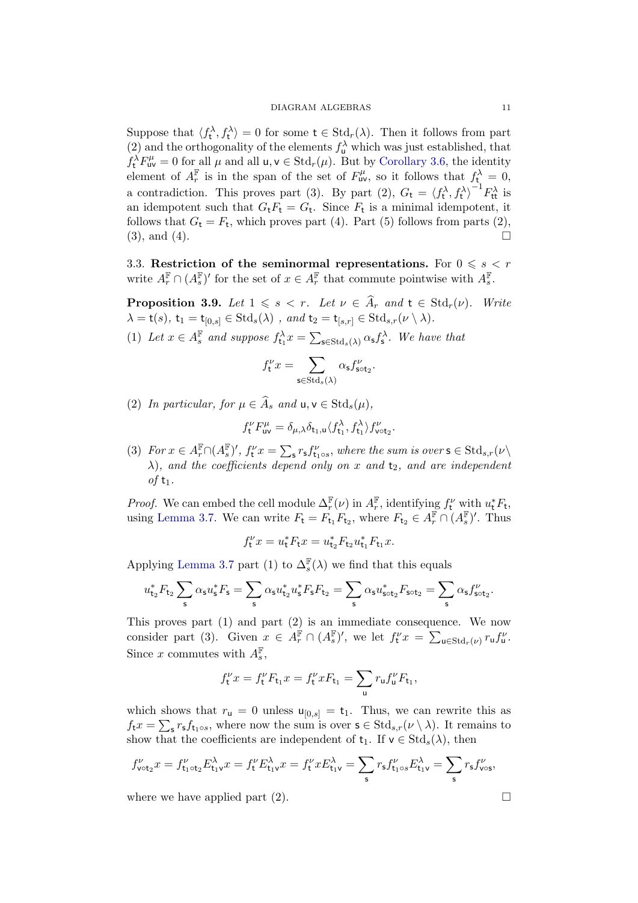Suppose that  $\langle f_t^{\lambda}, f_t^{\lambda} \rangle = 0$  for some  $t \in \text{Std}_r(\lambda)$ . Then it follows from part (2) and the orthogonality of the elements  $f_{\mu}^{\lambda}$  which was just established, that  $f_t^{\lambda} F_{uv}^{\mu} = 0$  for all  $\mu$  and all  $u, v \in \text{Std}_r(\mu)$ . But by [Corollary 3.6,](#page-8-1) the identity element of  $A_r^{\mathbb{F}}$  is in the span of the set of  $F_{uv}^{\mu}$ , so it follows that  $f_{t_i}^{\lambda} = 0$ , a contradiction. This proves part (3). By part (2),  $G_t = \langle f_t^{\lambda}, f_t^{\lambda} \rangle^{-1} F_{tt}^{\lambda}$  is an idempotent such that  $G_t F_t = G_t$ . Since  $F_t$  is a minimal idempotent, it follows that  $G_t = F_t$ , which proves part (4). Part (5) follows from parts (2),  $(3)$ , and  $(4)$ .

3.3. Restriction of the seminormal representations. For  $0 \le s \le r$ write  $A_r^{\mathbb{F}} \cap (A_s^{\mathbb{F}})'$  for the set of  $x \in A_r^{\mathbb{F}}$  that commute pointwise with  $A_s^{\mathbb{F}}$ .

**Proposition 3.9.** Let  $1 \leq s \leq r$ . Let  $\nu \in \widehat{A}_r$  and  $t \in \text{Std}_r(\nu)$ . Write  $\lambda = \mathsf{t}(s),\, \mathsf{t}_1 = \mathsf{t}_{[0,s]} \in \operatorname{Std}_s(\lambda)$ , and  $\mathsf{t}_2 = \mathsf{t}_{[s,r]} \in \operatorname{Std}_{s,r}(\nu \setminus \lambda)$ .

(1) Let  $x \in A_s^{\mathbb{F}}$  and suppose  $f_{t_1}^{\lambda} x = \sum_{s \in \text{Std}_s(\lambda)} \alpha_s f_s^{\lambda}$ . We have that

$$
f_{\mathsf{t}}^{\nu}x = \sum_{\mathsf{s} \in \mathrm{Std}_{s}(\lambda)} \alpha_{\mathsf{s}} f_{\mathrm{sot}_2}^{\nu}.
$$

(2) In particular, for  $\mu \in \widehat{A}_s$  and  $\mathsf{u}, \mathsf{v} \in \text{Std}_s(\mu)$ ,

$$
f_{\mathsf{t}}^{\nu} F_{\mathsf{u}\mathsf{v}}^{\mu} = \delta_{\mu,\lambda} \delta_{\mathsf{t}_1,\mathsf{u}} \langle f_{\mathsf{t}_1}^{\lambda}, f_{\mathsf{t}_1}^{\lambda} \rangle f_{\mathsf{v}\mathsf{d}\mathsf{t}_2}^{\nu}.
$$

(3) For  $x \in A_r^{\mathbb{F}} \cap (A_s^{\mathbb{F}})'$ ,  $f_t^{\nu} x = \sum_s r_s f_{t_1 \circ s}^{\nu}$ , where the sum is over  $s \in \text{Std}_{s,r}(\nu)$  $\lambda$ ), and the coefficients depend only on x and  $t_2$ , and are independent of  $t_1$ .

*Proof.* We can embed the cell module  $\Delta_r^{\mathbb{F}}(\nu)$  in  $A_r^{\mathbb{F}}$ , identifying  $f_t^{\nu}$  with  $u_t^* F_t$ , using [Lemma 3.7.](#page-9-0) We can write  $F_t = F_{t_1} F_{t_2}$ , where  $F_{t_2} \in A_r^{\mathbb{F}} \cap (A_s^{\mathbb{F}})'$ . Thus

$$
f_{\mathsf{t}}^{\nu} x = u_{\mathsf{t}}^* F_{\mathsf{t}} x = u_{\mathsf{t}_2}^* F_{\mathsf{t}_2} u_{\mathsf{t}_1}^* F_{\mathsf{t}_1} x.
$$

Applying [Lemma 3.7](#page-9-0) part (1) to  $\Delta_s^{\mathbb{F}}(\lambda)$  we find that this equals

$$
u_{t_2}^* F_{t_2} \sum_{s} \alpha_s u_s^* F_s = \sum_{s} \alpha_s u_{t_2}^* u_s^* F_s F_{t_2} = \sum_{s} \alpha_s u_{sot_2}^* F_{sot_2} = \sum_{s} \alpha_s f_{sot_2}^{\nu}.
$$

This proves part (1) and part (2) is an immediate consequence. We now consider part (3). Given  $x \in A_r^{\mathbb{F}} \cap (A_s^{\mathbb{F}})'$ , we let  $f_t^{\nu} x = \sum_{\mathbf{u} \in \text{Std}_r(\nu)} r_{\mathbf{u}} f_{\mathbf{u}}^{\nu}$ . Since x commutes with  $A_s^{\mathbb{F}}$ ,

$$
f_{\mathsf{t}}^\nu x = f_{\mathsf{t}}^\nu F_{\mathsf{t}_1} x = f_{\mathsf{t}}^\nu x F_{\mathsf{t}_1} = \sum_{\mathsf{u}} r_{\mathsf{u}} f_{\mathsf{u}}^\nu F_{\mathsf{t}_1},
$$

which shows that  $r_u = 0$  unless  $u_{[0,s]} = t_1$ . Thus, we can rewrite this as  $f_t x = \sum_s r_s f_{t_1 \circ s}$ , where now the sum is over  $s \in \text{Std}_{s,r}(\nu \setminus \lambda)$ . It remains to show that the coefficients are independent of  $t_1$ . If  $v \in \text{Std}_s(\lambda)$ , then

$$
f_{\text{vot}_2}^{\nu} x = f_{\text{t}_1 \circ \text{t}_2}^{\nu} E_{\text{t}_1 \nu}^{\lambda} x = f_{\text{t}}^{\nu} E_{\text{t}_1 \nu}^{\lambda} x = f_{\text{t}}^{\nu} x E_{\text{t}_1 \nu}^{\lambda} = \sum_{\text{s}} r_{\text{s}} f_{\text{t}_1 \circ \text{s}}^{\nu} E_{\text{t}_1 \nu}^{\lambda} = \sum_{\text{s}} r_{\text{s}} f_{\text{vos}}^{\nu},
$$

where we have applied part  $(2)$ .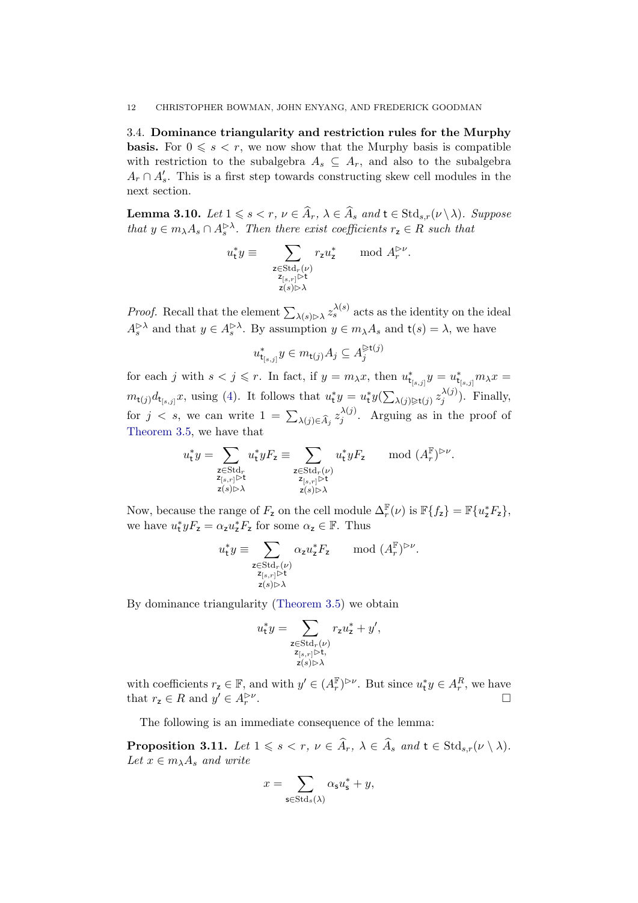3.4. Dominance triangularity and restriction rules for the Murphy **basis.** For  $0 \le s \le r$ , we now show that the Murphy basis is compatible with restriction to the subalgebra  $A_s \subseteq A_r$ , and also to the subalgebra  $A_r \cap A'_s$ . This is a first step towards constructing skew cell modules in the next section.

<span id="page-12-0"></span>**Lemma 3.10.** Let  $1 \le s < r$ ,  $\nu \in \widehat{A}_r$ ,  $\lambda \in \widehat{A}_s$  and  $t \in \text{Std}_{s,r}(\nu \setminus \lambda)$ . Suppose that  $y \in m_{\lambda} A_s \cap A_s^{\triangleright \lambda}$ . Then there exist coefficients  $r_z \in R$  such that

$$
u_t^*y \equiv \sum_{\substack{\mathsf{z}\in \mathrm{Std}_r(\nu)\\ \mathsf{z}_{[s,r]} \rhd \mathsf{t}\\ \mathsf{z}(s)\rhd \lambda}} r_{\mathsf{z}} u_{\mathsf{z}}^* \quad \mod A_r^{\rhd \nu}.
$$

*Proof.* Recall that the element  $\sum_{\lambda(s)\triangleright\lambda}z_s^{\lambda(s)}$  acts as the identity on the ideal  $A_s^{\rhd \lambda}$  and that  $y \in A_s^{\rhd \lambda}$ . By assumption  $y \in m_\lambda A_s$  and  $t(s) = \lambda$ , we have

$$
u^*_{\mathsf{t}_{[s,j]}}y \in m_{\mathsf{t}(j)} A_j \subseteq A_j^{\triangleright \mathsf{t}(j)}
$$

for each j with  $s < j \leq r$ . In fact, if  $y = m_{\lambda}x$ , then  $u_{\mathsf{t}_{[s,j]}}^*y = u_{\mathsf{t}_{[s,j]}}^*m_{\lambda}x =$  $m_{\mathsf{t}(j)}d_{\mathsf{t}_{[s,j]}}x$ , using [\(4\)](#page-6-1). It follows that  $u_{\mathsf{t}}^*y = u_{\mathsf{t}}^*y(\sum_{\lambda(j)\triangleright \mathsf{t}(j)} z_j^{\lambda(j)}$  $j^{(3)}$ ). Finally, for  $j < s$ , we can write  $1 = \sum_{\lambda(j) \in \widehat{A}_j} z_j^{\lambda(j)}$  $j_j^{\alpha(j)}$ . Arguing as in the proof of [Theorem 3.5,](#page-8-0) we have that

$$
u_t^*y = \sum_{\substack{\mathbf{z}\in \mathrm{Std}_r \\ \mathbf{z}_{[s,r]}\rhd \mathbf{t}\\ \mathbf{z}(s)\rhd \lambda}} u_t^*yF_{\mathbf{z}} \equiv \sum_{\substack{\mathbf{z}\in \mathrm{Std}_r(\nu) \\ \mathbf{z}_{[s,r]}\rhd \mathbf{t}\\ \mathbf{z}(s)\rhd \lambda}} u_t^*yF_{\mathbf{z}} ~~\mod (A_r^{\mathbb{F}})^{\rhd \nu}.
$$

<span id="page-12-2"></span>Now, because the range of  $F_z$  on the cell module  $\Delta_r^{\mathbb{F}}(\nu)$  is  $\mathbb{F}{f_z} = \mathbb{F}{u_z^* F_z}$ , we have  $u_t^* y F_z = \alpha_z u_z^* F_z$  for some  $\alpha_z \in \mathbb{F}$ . Thus

$$
u_{\mathsf{t}}^* y \equiv \sum_{\substack{\mathsf{z}\in \mathrm{Std}_r(\nu)\\ \mathsf{z}_{[s,r]}\rhd \mathsf{t}\\ \mathsf{z}(s)\rhd \lambda}} \alpha_{\mathsf{z}} u_{\mathsf{z}}^* F_{\mathsf{z}} ~~ \mathrm{mod} ~(A_r^{\mathbb{F}})^{\rhd \nu}.
$$

By dominance triangularity [\(Theorem 3.5\)](#page-8-0) we obtain

$$
u_{\mathsf{t}}^* y = \sum_{\substack{\mathsf{z}\in \mathrm{Std}_{\mathsf{T}}(\nu)\\ \mathsf{z}_{[s,r]}\rhd \mathsf{t},\\ \mathsf{z}(s)\rhd \lambda}} r_{\mathsf{z}} u_{\mathsf{z}}^* + y',
$$

with coefficients  $r_z \in \mathbb{F}$ , and with  $y' \in (A_r^{\mathbb{F}})^{\rhd \nu}$ . But since  $u_t^* y \in A_r^R$ , we have that  $r_z \in R$  and  $y' \in A_r^{\rhd \nu}$ .

The following is an immediate consequence of the lemma:

<span id="page-12-1"></span>**Proposition 3.11.** Let  $1 \le s < r$ ,  $\nu \in \widehat{A}_r$ ,  $\lambda \in \widehat{A}_s$  and  $t \in \text{Std}_{s,r}(\nu \setminus \lambda)$ . Let  $x \in m_{\lambda} A_s$  and write

$$
x=\sum_{\mathsf{s}\in \mathrm{Std}_{\mathsf{s}}(\lambda)}\alpha_{\mathsf{s}} u_\mathsf{s}^* + y,
$$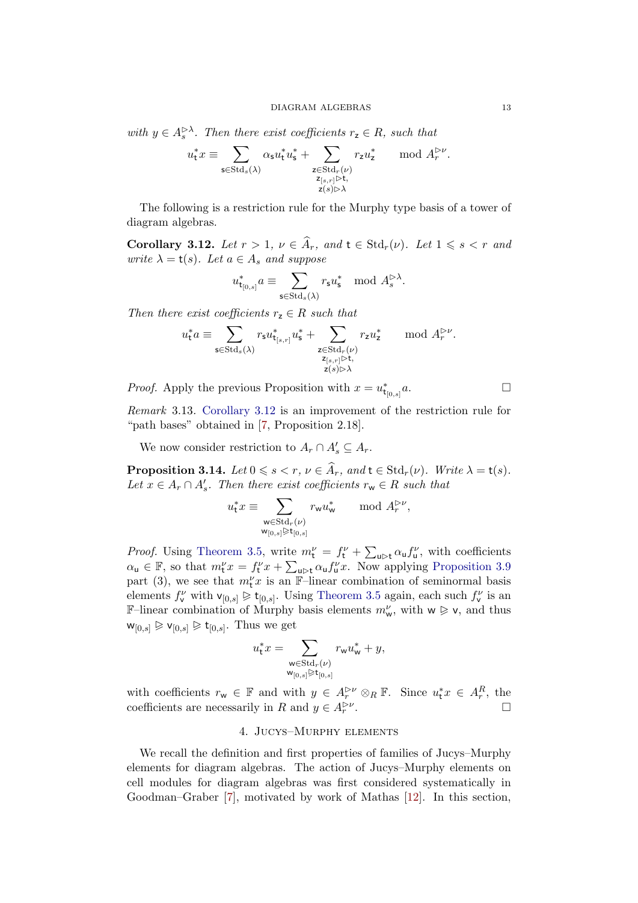with  $y \in A_s^{\triangleright \lambda}$ . Then there exist coefficients  $r_z \in R$ , such that

$$
u_{\mathsf{t}}^*x \equiv \sum_{\substack{\mathsf{s}\in \mathrm{Std}_{s}(\lambda)\\ \mathsf{c} \in \mathrm{Std}_{s}(\lambda)\\ \mathsf{c}(\lambda)=\mathsf{c}(\lambda)\\ \mathsf{c}(\lambda)=\lambda}} \alpha_{\mathsf{s}} u_{\mathsf{t}}^*u_{\mathsf{s}} + \sum_{\substack{\mathsf{z}\in \mathrm{Std}_{r}(\nu)\\ \mathsf{z}(\lambda)=\lambda}} r_{\mathsf{z}} u_{\mathsf{z}}^* \quad \mod A_r^{>\nu}.
$$

The following is a restriction rule for the Murphy type basis of a tower of diagram algebras.

**Corollary 3.12.** Let  $r > 1$ ,  $\nu \in \widehat{A}_r$ , and  $t \in \text{Std}_r(\nu)$ . Let  $1 \leq s < r$  and write  $\lambda = \mathsf{t}(s)$ . Let  $a \in A_s$  and suppose

$$
u^*_{\mathsf{t}_{[0,s]} } a \equiv \sum_{\mathsf{s} \in \text{Std}_{s}(\lambda)} r_{\mathsf{s}} u^*_{\mathsf{s}} \mod A_s^{\rhd \lambda}.
$$

Then there exist coefficients  $r<sub>z</sub> \in R$  such that

$$
u_{\mathsf{t}}^* a \equiv \sum_{\mathsf{s} \in \mathrm{Std}_s(\lambda)} r_{\mathsf{s}} u_{\mathsf{t}_{[s,r]}}^* u_{\mathsf{s}}^* + \sum_{\substack{\mathsf{z} \in \mathrm{Std}_r(\nu) \\ \mathsf{z}_{[s,r]} \rhd \mathsf{t}, \\ \mathsf{z}(s) \rhd \lambda}} r_{\mathsf{z}} u_{\mathsf{z}}^*} \mod A_r^{\rhd \nu}.
$$

*Proof.* Apply the previous Proposition with  $x = u^*_{\mathsf{t}_{[0,s]}}$ 

 $a.$ 

Remark 3.13. [Corollary 3.12](#page-12-0) is an improvement of the restriction rule for "path bases" obtained in [\[7,](#page-22-7) Proposition 2.18].

We now consider restriction to  $A_r \cap A'_s \subseteq A_r$ .

**Proposition 3.14.** Let  $0 \le s \le r$ ,  $\nu \in \widehat{A}_r$ , and  $t \in \text{Std}_r(\nu)$ . Write  $\lambda = t(s)$ . Let  $x \in A_r \cap A'_s$ . Then there exist coefficients  $r_w \in R$  such that

$$
u_{\mathsf{t}}^*x \equiv \sum_{\substack{\mathsf{w}\in \mathrm{Std}_r(\nu)\\ \mathsf{w}_{[0,s]}\triangleright \mathsf{t}_{[0,s]}}}\!\!\!\!\!\!\!\!r_{\mathsf{w}}u_{\mathsf{w}}^*\quad \mod A_r^{\rhd \nu},
$$

*Proof.* Using [Theorem 3.5,](#page-8-0) write  $m_t^{\nu} = f_t^{\nu} + \sum_{u \triangleright t} \alpha_u f_u^{\nu}$ , with coefficients  $\alpha_{\mathsf{u}} \in \mathbb{F}$ , so that  $m_{\mathsf{t}}^{\nu} x = f_{\mathsf{t}}^{\nu} x + \sum_{\mathsf{u} \rhd \mathsf{t}} \alpha_{\mathsf{u}} f_{\mathsf{u}}^{\nu} x$ . Now applying [Proposition 3.9](#page-10-0) part (3), we see that  $m_t^{\nu} x$  is an F-linear combination of seminormal basis elements  $f_v^{\nu}$  with  $v_{[0,s]} \geq t_{[0,s]}$ . Using [Theorem 3.5](#page-8-0) again, each such  $f_v^{\nu}$  is an F-linear combination of Murphy basis elements  $m_{\mathsf{w}}^{\nu}$ , with  $\mathsf{w} \geq \mathsf{v}$ , and thus  $\mathsf{w}_{[0,s]} \triangleright \mathsf{v}_{[0,s]} \triangleright \mathsf{t}_{[0,s]}$ . Thus we get

$$
u_{\mathsf{t}}^* x = \sum_{\substack{\mathsf{w}\in \mathrm{Std}_r(\nu)\\ \mathsf{w}_{[0,s]}\not\supseteq \mathsf{t}_{[0,s]}}} r_{\mathsf{w}} u_{\mathsf{w}}^* + y,
$$

<span id="page-13-0"></span>with coefficients  $r_w \in \mathbb{F}$  and with  $y \in A_r^{\rhd \nu} \otimes_R \mathbb{F}$ . Since  $u_t^* x \in A_r^R$ , the coefficients are necessarily in R and  $y \in A_r^{\rhd \nu}$ .

#### 4. Jucys–Murphy elements

We recall the definition and first properties of families of Jucys–Murphy elements for diagram algebras. The action of Jucys–Murphy elements on cell modules for diagram algebras was first considered systematically in Goodman–Graber [\[7\]](#page-22-7), motivated by work of Mathas [\[12\]](#page-22-8). In this section,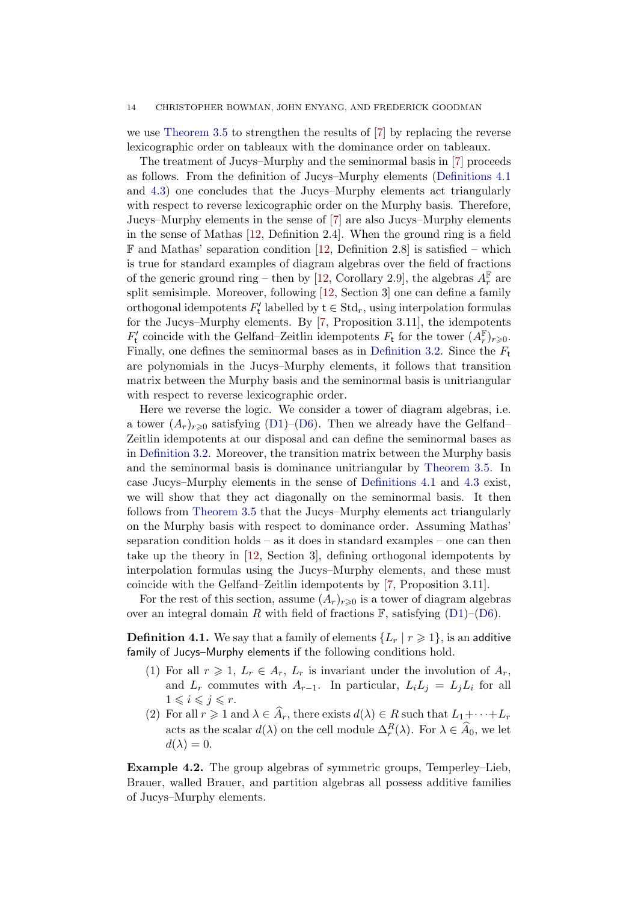<span id="page-14-0"></span>we use [Theorem 3.5](#page-8-0) to strengthen the results of [\[7\]](#page-22-7) by replacing the reverse lexicographic order on tableaux with the dominance order on tableaux.

The treatment of Jucys–Murphy and the seminormal basis in [\[7\]](#page-22-7) proceeds as follows. From the definition of Jucys–Murphy elements [\(Definitions 4.1](#page-13-0) and [4.3\)](#page-14-0) one concludes that the Jucys–Murphy elements act triangularly with respect to reverse lexicographic order on the Murphy basis. Therefore, Jucys–Murphy elements in the sense of [\[7\]](#page-22-7) are also Jucys–Murphy elements in the sense of Mathas [\[12,](#page-22-8) Definition 2.4]. When the ground ring is a field  $\mathbb F$  and Mathas' separation condition [\[12,](#page-22-8) Definition 2.8] is satisfied – which is true for standard examples of diagram algebras over the field of fractions of the generic ground ring – then by [\[12,](#page-22-8) Corollary 2.9], the algebras  $A_r^{\mathbb{F}}$  are split semisimple. Moreover, following [\[12,](#page-22-8) Section 3] one can define a family orthogonal idempotents  $F'_{t}$  labelled by  $t \in \text{Std}_{r}$ , using interpolation formulas for the Jucys–Murphy elements. By [\[7,](#page-22-7) Proposition 3.11], the idempotents  $F'_{t}$  coincide with the Gelfand–Zeitlin idempotents  $F_{t}$  for the tower  $(A_{r}^{\mathbb{F}})_{r\geqslant0}$ . Finally, one defines the seminormal bases as in [Definition 3.2.](#page-7-0) Since the  $F_t$ are polynomials in the Jucys–Murphy elements, it follows that transition matrix between the Murphy basis and the seminormal basis is unitriangular with respect to reverse lexicographic order.

<span id="page-14-1"></span>Here we reverse the logic. We consider a tower of diagram algebras, i.e. a tower  $(A_r)_{r\geq 0}$  satisfying [\(D1\)](#page-4-0)–[\(D6\)](#page-5-0). Then we already have the Gelfand– Zeitlin idempotents at our disposal and can define the seminormal bases as in [Definition 3.2.](#page-7-0) Moreover, the transition matrix between the Murphy basis and the seminormal basis is dominance unitriangular by [Theorem 3.5.](#page-8-0) In case Jucys–Murphy elements in the sense of [Definitions 4.1](#page-13-0) and [4.3](#page-14-0) exist, we will show that they act diagonally on the seminormal basis. It then follows from [Theorem 3.5](#page-8-0) that the Jucys–Murphy elements act triangularly on the Murphy basis with respect to dominance order. Assuming Mathas' separation condition holds – as it does in standard examples – one can then take up the theory in [\[12,](#page-22-8) Section 3], defining orthogonal idempotents by interpolation formulas using the Jucys–Murphy elements, and these must coincide with the Gelfand–Zeitlin idempotents by [\[7,](#page-22-7) Proposition 3.11].

<span id="page-14-3"></span><span id="page-14-2"></span>For the rest of this section, assume  $(A_r)_{r\geqslant0}$  is a tower of diagram algebras over an integral domain R with field of fractions  $\mathbb{F}$ , satisfying  $(D1)$ – $(D6)$ .

**Definition 4.1.** We say that a family of elements  $\{L_r | r \geq 1\}$ , is an additive family of Jucys–Murphy elements if the following conditions hold.

- (1) For all  $r \geq 1$ ,  $L_r \in A_r$ ,  $L_r$  is invariant under the involution of  $A_r$ , and  $L_r$  commutes with  $A_{r-1}$ . In particular,  $L_iL_j = L_jL_i$  for all  $1 \leq i \leq j \leq r$ .
- (2) For all  $r \geq 1$  and  $\lambda \in \widehat{A}_r$ , there exists  $d(\lambda) \in R$  such that  $L_1 + \cdots + L_r$ acts as the scalar  $d(\lambda)$  on the cell module  $\Delta_r^R(\lambda)$ . For  $\lambda \in \widehat{A}_0$ , we let  $d(\lambda) = 0.$

Example 4.2. The group algebras of symmetric groups, Temperley–Lieb, Brauer, walled Brauer, and partition algebras all possess additive families of Jucys–Murphy elements.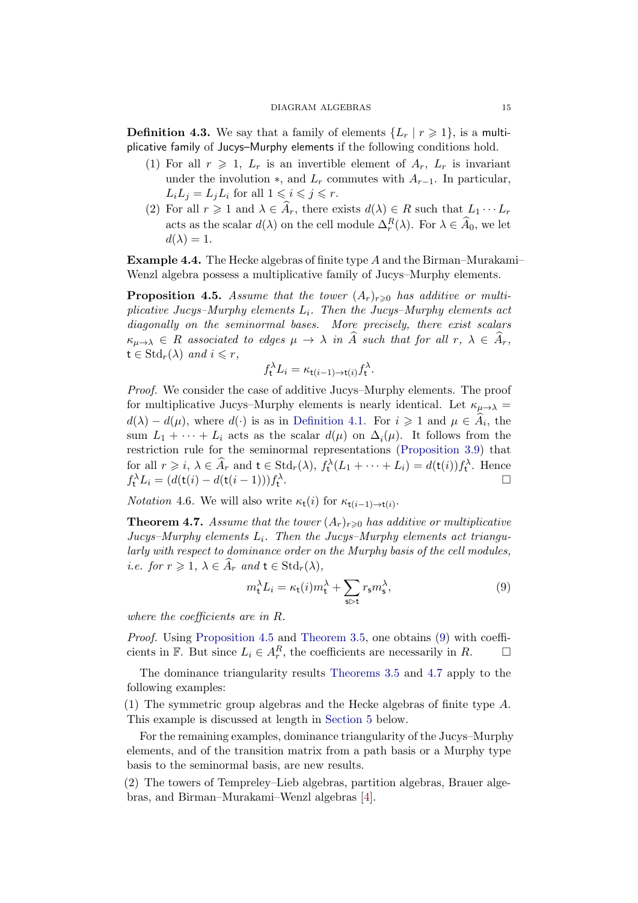**Definition 4.3.** We say that a family of elements  $\{L_r | r \geq 1\}$ , is a multiplicative family of Jucys–Murphy elements if the following conditions hold.

- (1) For all  $r \geq 1$ ,  $L_r$  is an invertible element of  $A_r$ ,  $L_r$  is invariant under the involution  $\ast$ , and  $L_r$  commutes with  $A_{r-1}$ . In particular,  $L_i L_j = L_j L_i$  for all  $1 \leq i \leq j \leq r$ .
- <span id="page-15-0"></span>(2) For all  $r \geq 1$  and  $\lambda \in \widehat{A}_r$ , there exists  $d(\lambda) \in R$  such that  $L_1 \cdots L_r$ acts as the scalar  $d(\lambda)$  on the cell module  $\Delta_r^R(\lambda)$ . For  $\lambda \in \widehat{A}_0$ , we let  $d(\lambda) = 1.$

Example 4.4. The Hecke algebras of finite type A and the Birman–Murakami– Wenzl algebra possess a multiplicative family of Jucys–Murphy elements.

**Proposition 4.5.** Assume that the tower  $(A_r)_{r\geqslant0}$  has additive or multiplicative Jucys–Murphy elements  $L_i$ . Then the Jucys–Murphy elements act diagonally on the seminormal bases. More precisely, there exist scalars  $\kappa_{\mu\to\lambda} \in R$  associated to edges  $\mu \to \lambda$  in A such that for all  $r, \lambda \in A_r$ ,  $t \in \text{Std}_r(\lambda)$  and  $i \leq r$ ,

$$
f_{\mathsf{t}}^{\lambda} L_i = \kappa_{\mathsf{t}(i-1) \to \mathsf{t}(i)} f_{\mathsf{t}}^{\lambda}.
$$

Proof. We consider the case of additive Jucys–Murphy elements. The proof for multiplicative Jucys–Murphy elements is nearly identical. Let  $\kappa_{\mu \to \lambda} =$  $d(\lambda) - d(\mu)$ , where  $d(\cdot)$  is as in [Definition 4.1.](#page-13-0) For  $i \geq 1$  and  $\mu \in A_i$ , the sum  $L_1 + \cdots + L_i$  acts as the scalar  $d(\mu)$  on  $\Delta_i(\mu)$ . It follows from the restriction rule for the seminormal representations [\(Proposition 3.9\)](#page-10-0) that for all  $r \geqslant i$ ,  $\lambda \in \widehat{A}_r$  and  $t \in \text{Std}_r(\lambda)$ ,  $f_t^{\lambda}(L_1 + \cdots + L_i) = d(t(i))f_t^{\lambda}$ . Hence  $f_{\mathsf{t}}^{\lambda} L_i = (d(\mathsf{t}(i) - d(\mathsf{t}(i-1))) f_{\mathsf{t}}^{\lambda})$ .

*Notation* 4.6. We will also write  $\kappa_t(i)$  for  $\kappa_{t(i-1)\to t(i)}$ .

**Theorem 4.7.** Assume that the tower  $(A_r)_{r\geq 0}$  has additive or multiplicative Jucys–Murphy elements  $L_i$ . Then the Jucys–Murphy elements act triangularly with respect to dominance order on the Murphy basis of the cell modules, *i.e.* for  $r \geq 1$ ,  $\lambda \in A_r$  and  $t \in \text{Std}_r(\lambda)$ ,

$$
m_{\mathbf{t}}^{\lambda} L_i = \kappa_{\mathbf{t}}(i) m_{\mathbf{t}}^{\lambda} + \sum_{\mathbf{s} \rhd \mathbf{t}} r_{\mathbf{s}} m_{\mathbf{s}}^{\lambda},\tag{9}
$$

where the coefficients are in R.

Proof. Using [Proposition 4.5](#page-14-1) and [Theorem 3.5,](#page-8-0) one obtains [\(9\)](#page-14-2) with coefficients in F. But since  $L_i \in A_r^R$ , the coefficients are necessarily in R.  $\Box$ 

The dominance triangularity results [Theorems 3.5](#page-8-0) and [4.7](#page-14-3) apply to the following examples:

(1) The symmetric group algebras and the Hecke algebras of finite type A. This example is discussed at length in [Section 5](#page-15-0) below.

For the remaining examples, dominance triangularity of the Jucys–Murphy elements, and of the transition matrix from a path basis or a Murphy type basis to the seminormal basis, are new results.

(2) The towers of Tempreley–Lieb algebras, partition algebras, Brauer algebras, and Birman–Murakami–Wenzl algebras [\[4\]](#page-22-0).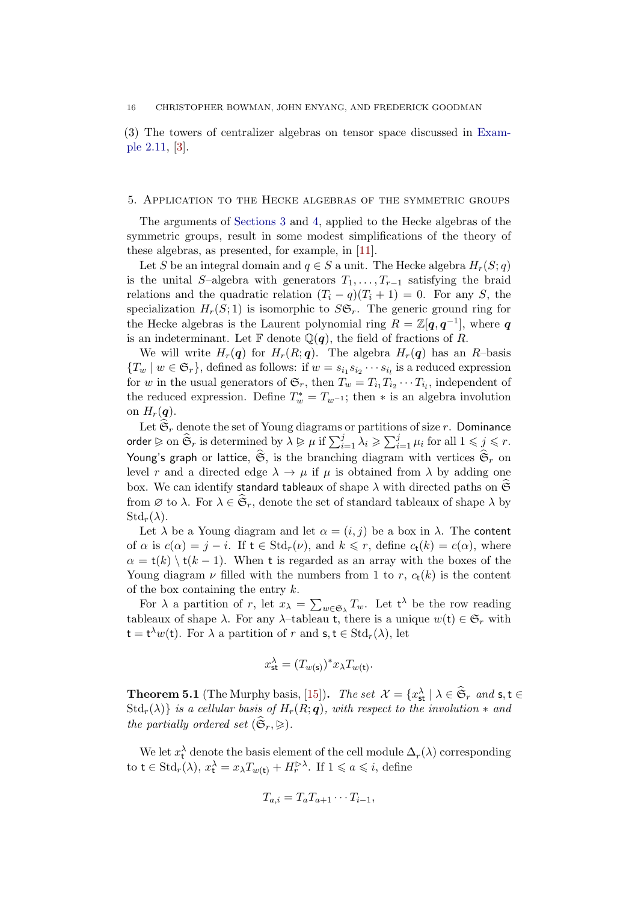(3) The towers of centralizer algebras on tensor space discussed in [Exam](#page-5-3)[ple 2.11,](#page-5-3) [\[3\]](#page-22-2).

#### 5. Application to the Hecke algebras of the symmetric groups

The arguments of [Sections 3](#page-7-1) and [4,](#page-12-1) applied to the Hecke algebras of the symmetric groups, result in some modest simplifications of the theory of these algebras, as presented, for example, in [\[11\]](#page-22-1).

<span id="page-16-0"></span>Let S be an integral domain and  $q \in S$  a unit. The Hecke algebra  $H_r(S; q)$ is the unital S–algebra with generators  $T_1, \ldots, T_{r-1}$  satisfying the braid relations and the quadratic relation  $(T_i - q)(T_i + 1) = 0$ . For any S, the specialization  $H_r(S; 1)$  is isomorphic to  $S\mathfrak{S}_r$ . The generic ground ring for the Hecke algebras is the Laurent polynomial ring  $R = \mathbb{Z}[q, q^{-1}]$ , where q is an indeterminant. Let  $\mathbb F$  denote  $\mathbb Q(q)$ , the field of fractions of R.

We will write  $H_r(q)$  for  $H_r(R; q)$ . The algebra  $H_r(q)$  has an R-basis  ${T_w | w \in \mathfrak{S}_r}$ , defined as follows: if  $w = s_{i_1} s_{i_2} \cdots s_{i_l}$  is a reduced expression for w in the usual generators of  $\mathfrak{S}_r$ , then  $T_w = T_{i_1} T_{i_2} \cdots T_{i_l}$ , independent of the reduced expression. Define  $T_w^* = T_{w^{-1}}$ ; then  $*$  is an algebra involution on  $H_r(q)$ .

Let  $\mathfrak{S}_r$  denote the set of Young diagrams or partitions of size r. Dominance order  $\varphi$  on  $\widehat{\mathfrak{S}}_r$  is determined by  $\lambda \varphi \mu$  if  $\sum_{i=1}^j \lambda_i \geqslant \sum_{i=1}^j \mu_i$  for all  $1 \leqslant j \leqslant r.$ Young's graph or lattice,  $\hat{\mathfrak{S}}_r$ , is the branching diagram with vertices  $\hat{\mathfrak{S}}_r$  on level r and a directed edge  $\lambda \to \mu$  if  $\mu$  is obtained from  $\lambda$  by adding one box. We can identify standard tableaux of shape  $\lambda$  with directed paths on  $\mathfrak{S}$ from  $\emptyset$  to  $\lambda$ . For  $\lambda \in \mathfrak{S}_r$ , denote the set of standard tableaux of shape  $\lambda$  by  $\mathrm{Std}_r(\lambda)$ .

Let  $\lambda$  be a Young diagram and let  $\alpha = (i, j)$  be a box in  $\lambda$ . The content of  $\alpha$  is  $c(\alpha) = i - i$ . If  $t \in \text{Std}_r(\nu)$ , and  $k \leq r$ , define  $c_t(k) = c(\alpha)$ , where  $\alpha = t(k) \setminus t(k-1)$ . When t is regarded as an array with the boxes of the Young diagram  $\nu$  filled with the numbers from 1 to r,  $c_t(k)$  is the content of the box containing the entry  $k$ .

<span id="page-16-1"></span>For  $\lambda$  a partition of r, let  $x_{\lambda} = \sum_{w \in \mathfrak{S}_{\lambda}} T_w$ . Let  $\mathsf{t}^{\lambda}$  be the row reading tableaux of shape  $\lambda$ . For any  $\lambda$ -tableau t, there is a unique  $w(t) \in \mathfrak{S}_r$  with  $\mathsf{t} = \mathsf{t}^{\lambda} w(\mathsf{t})$ . For  $\lambda$  a partition of r and  $\mathsf{s}, \mathsf{t} \in \text{Std}_r(\lambda)$ , let

$$
x_{\text{st}}^{\lambda} = (T_{w(\text{s})})^* x_{\lambda} T_{w(\text{t})}.
$$

<span id="page-16-3"></span><span id="page-16-2"></span>**Theorem 5.1** (The Murphy basis, [\[15\]](#page-23-1)). The set  $\mathcal{X} = \{x_{st}^{\lambda} | \lambda \in \widehat{\mathfrak{S}}_r \text{ and } s, t \in$  $\text{Std}_r(\lambda)$  is a cellular basis of  $H_r(R; \mathbf{q})$ , with respect to the involution  $*$  and the partially ordered set  $(\widehat{\mathfrak{S}}_r, \geqslant)$ .

<span id="page-16-4"></span>We let  $x_t^{\lambda}$  denote the basis element of the cell module  $\Delta_r(\lambda)$  corresponding to  $t \in \text{Std}_r(\lambda), x_t^{\lambda} = x_{\lambda} T_{w(t)} + H_r^{\rhd \lambda}$ . If  $1 \leqslant a \leqslant i$ , define

$$
T_{a,i}=T_aT_{a+1}\cdots T_{i-1},
$$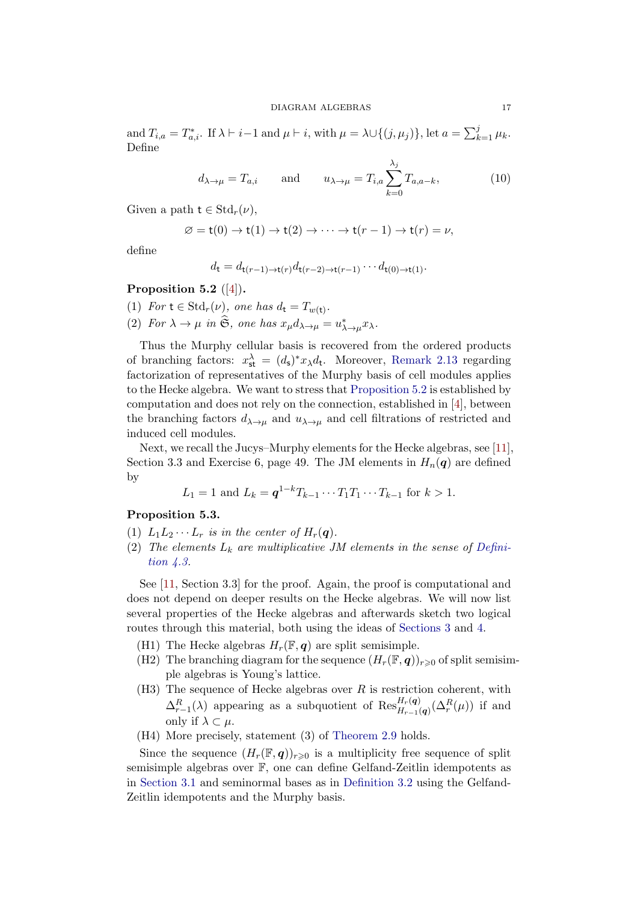<span id="page-17-1"></span>and  $T_{i,a} = T_{a,i}^*$ . If  $\lambda \vdash i-1$  and  $\mu \vdash i$ , with  $\mu = \lambda \cup \{(j,\mu_j)\}\text{, let } a = \sum_{k=1}^j \mu_k$ . Define

$$
d_{\lambda \to \mu} = T_{a,i} \quad \text{and} \quad u_{\lambda \to \mu} = T_{i,a} \sum_{k=0}^{\lambda_j} T_{a,a-k}, \quad (10)
$$

<span id="page-17-2"></span><span id="page-17-0"></span>Given a path  $t \in \text{Std}_r(\nu)$ ,

$$
\varnothing = \mathsf{t}(0) \to \mathsf{t}(1) \to \mathsf{t}(2) \to \cdots \to \mathsf{t}(r-1) \to \mathsf{t}(r) = \nu,
$$

define

$$
d_{\mathsf{t}} = d_{\mathsf{t}(r-1)\to \mathsf{t}(r)} d_{\mathsf{t}(r-2)\to \mathsf{t}(r-1)} \cdots d_{\mathsf{t}(0)\to \mathsf{t}(1)}.
$$

#### Proposition 5.2  $([4])$  $([4])$  $([4])$ .

- (1) For  $t \in \text{Std}_r(\nu)$ , one has  $d_t = T_{w(t)}$ .
- (2) For  $\lambda \to \mu$  in  $\hat{\mathfrak{S}}$ , one has  $x_{\mu}d_{\lambda \to \mu} = u_{\lambda \to \mu}^*x_{\lambda}$ .

Thus the Murphy cellular basis is recovered from the ordered products of branching factors:  $x_{st}^{\lambda} = (d_s)^* x_{\lambda} d_t$ . Moreover, [Remark 2.13](#page-6-3) regarding factorization of representatives of the Murphy basis of cell modules applies to the Hecke algebra. We want to stress that [Proposition 5.2](#page-16-0) is established by computation and does not rely on the connection, established in [\[4\]](#page-22-0), between the branching factors  $d_{\lambda\to\mu}$  and  $u_{\lambda\to\mu}$  and cell filtrations of restricted and induced cell modules.

Next, we recall the Jucys–Murphy elements for the Hecke algebras, see [\[11\]](#page-22-1), Section 3.3 and Exercise 6, page 49. The JM elements in  $H_n(q)$  are defined by

$$
L_1 = 1
$$
 and  $L_k = \mathbf{q}^{1-k} T_{k-1} \cdots T_1 T_1 \cdots T_{k-1}$  for  $k > 1$ .

#### Proposition 5.3.

- (1)  $L_1L_2 \cdots L_r$  is in the center of  $H_r(\mathbf{q})$ .
- (2) The elements  $L_k$  are multiplicative JM elements in the sense of [Defini](#page-14-0)tion  $\lambda$ .3.

See [\[11,](#page-22-1) Section 3.3] for the proof. Again, the proof is computational and does not depend on deeper results on the Hecke algebras. We will now list several properties of the Hecke algebras and afterwards sketch two logical routes through this material, both using the ideas of [Sections 3](#page-7-1) and [4.](#page-12-1)

- (H1) The Hecke algebras  $H_r(\mathbb{F}, q)$  are split semisimple.
- (H2) The branching diagram for the sequence  $(H_r(\mathbb{F}, q))_{r\geq 0}$  of split semisimple algebras is Young's lattice.
- $(H3)$  The sequence of Hecke algebras over R is restriction coherent, with  $\Delta_{r-1}^R(\lambda)$  appearing as a subquotient of  $\text{Res}_{H_{r-1}(q)}^{H_r(q)}(\Delta_r^R(\mu))$  if and only if  $\lambda \subset \mu$ .
- (H4) More precisely, statement (3) of [Theorem 2.9](#page-5-1) holds.

Since the sequence  $(H_r(\mathbb{F}, q))_{r\geq 0}$  is a multiplicity free sequence of split semisimple algebras over F, one can define Gelfand-Zeitlin idempotents as in [Section 3.1](#page-7-2) and seminormal bases as in [Definition 3.2](#page-7-0) using the Gelfand-Zeitlin idempotents and the Murphy basis.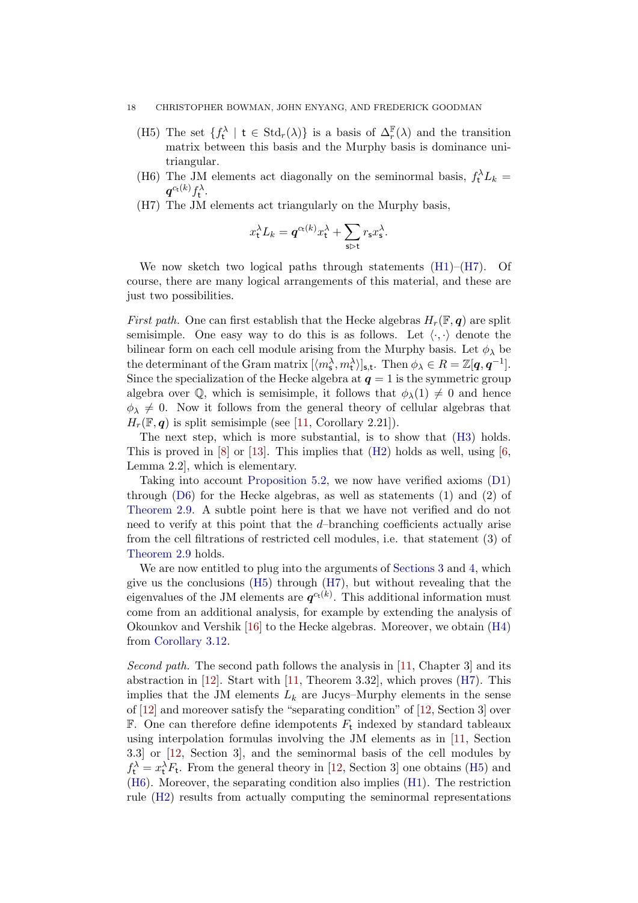- (H5) The set  $\{f_t^{\lambda} \mid t \in \text{Std}_r(\lambda)\}\$ is a basis of  $\Delta_r^{\mathbb{F}}(\lambda)$  and the transition matrix between this basis and the Murphy basis is dominance unitriangular.
- (H6) The JM elements act diagonally on the seminormal basis,  $f_t^{\lambda} L_k =$  $\bm{q}^{c_{\mathsf{t}}(k)}f^\lambda_{\mathsf{t}}.$
- (H7) The JM elements act triangularly on the Murphy basis,

$$
x_{\rm t}^{\lambda}L_k={\mathbf q}^{c_{\rm t}(k)}x_{\rm t}^{\lambda}+\sum_{{\rm s} \rhd {\rm t}} r_{\rm s}x_{\rm s}^{\lambda}.
$$

We now sketch two logical paths through statements  $(H1)$ – $(H7)$ . Of course, there are many logical arrangements of this material, and these are just two possibilities.

*First path.* One can first establish that the Hecke algebras  $H_r(\mathbb{F}, q)$  are split semisimple. One easy way to do this is as follows. Let  $\langle \cdot, \cdot \rangle$  denote the bilinear form on each cell module arising from the Murphy basis. Let  $\phi_{\lambda}$  be the determinant of the Gram matrix  $[\langle m_{\mathsf{s}}^{\lambda}, m_{\mathsf{t}}^{\lambda} \rangle]_{\mathsf{s},\mathsf{t}}$ . Then  $\phi_{\lambda} \in R = \mathbb{Z}[q, q^{-1}]$ . Since the specialization of the Hecke algebra at  $q = 1$  is the symmetric group algebra over  $\mathbb{Q}$ , which is semisimple, it follows that  $\phi_{\lambda}(1) \neq 0$  and hence  $\phi_{\lambda} \neq 0$ . Now it follows from the general theory of cellular algebras that  $H_r(\mathbb{F}, q)$  is split semisimple (see [\[11,](#page-22-1) Corollary 2.21]).

The next step, which is more substantial, is to show that [\(H3\)](#page-16-2) holds. This is proved in  $[8]$  or  $[13]$ . This implies that  $(H2)$  holds as well, using  $[6, 6]$ Lemma 2.2], which is elementary.

Taking into account [Proposition 5.2,](#page-16-0) we now have verified axioms [\(D1\)](#page-4-0) through  $(D6)$  for the Hecke algebras, as well as statements  $(1)$  and  $(2)$  of [Theorem 2.9.](#page-5-1) A subtle point here is that we have not verified and do not need to verify at this point that the d–branching coefficients actually arise from the cell filtrations of restricted cell modules, i.e. that statement (3) of [Theorem 2.9](#page-5-1) holds.

<span id="page-18-0"></span>We are now entitled to plug into the arguments of [Sections 3](#page-7-1) and [4,](#page-12-1) which give us the conclusions [\(H5\)](#page-17-1) through [\(H7\)](#page-17-0), but without revealing that the eigenvalues of the JM elements are  $q^{c_t(k)}$ . This additional information must come from an additional analysis, for example by extending the analysis of Okounkov and Vershik [\[16\]](#page-23-2) to the Hecke algebras. Moreover, we obtain [\(H4\)](#page-16-4) from [Corollary 3.12.](#page-12-0)

<span id="page-18-1"></span>Second path. The second path follows the analysis in [\[11,](#page-22-1) Chapter 3] and its abstraction in [\[12\]](#page-22-8). Start with [\[11,](#page-22-1) Theorem 3.32], which proves [\(H7\)](#page-17-0). This implies that the JM elements  $L_k$  are Jucys–Murphy elements in the sense of [\[12\]](#page-22-8) and moreover satisfy the "separating condition" of [\[12,](#page-22-8) Section 3] over  $\mathbb{F}$ . One can therefore define idempotents  $F_t$  indexed by standard tableaux using interpolation formulas involving the JM elements as in [\[11,](#page-22-1) Section 3.3] or [\[12,](#page-22-8) Section 3], and the seminormal basis of the cell modules by  $f_t^{\lambda} = x_t^{\lambda} F_t$ . From the general theory in [\[12,](#page-22-8) Section 3] one obtains [\(H5\)](#page-17-1) and [\(H6\)](#page-17-2). Moreover, the separating condition also implies [\(H1\)](#page-16-1). The restriction rule [\(H2\)](#page-16-3) results from actually computing the seminormal representations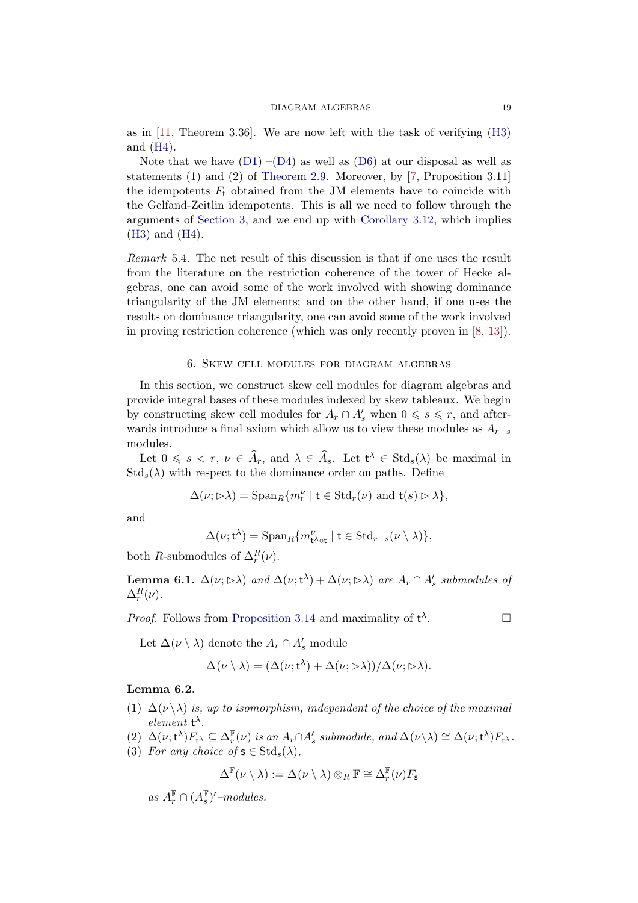#### DIAGRAM ALGEBRAS 19

as in [\[11,](#page-22-1) Theorem 3.36]. We are now left with the task of verifying [\(H3\)](#page-16-2) and [\(H4\)](#page-16-4).

Note that we have  $(D1)$  – $(D4)$  as well as  $(D6)$  at our disposal as well as statements (1) and (2) of [Theorem 2.9.](#page-5-1) Moreover, by [\[7,](#page-22-7) Proposition 3.11] the idempotents  $F_t$  obtained from the JM elements have to coincide with the Gelfand-Zeitlin idempotents. This is all we need to follow through the arguments of [Section 3,](#page-7-1) and we end up with [Corollary 3.12,](#page-12-0) which implies [\(H3\)](#page-16-2) and [\(H4\)](#page-16-4).

Remark 5.4. The net result of this discussion is that if one uses the result from the literature on the restriction coherence of the tower of Hecke algebras, one can avoid some of the work involved with showing dominance triangularity of the JM elements; and on the other hand, if one uses the results on dominance triangularity, one can avoid some of the work involved in proving restriction coherence (which was only recently proven in [\[8,](#page-22-9) [13\]](#page-22-10)).

#### 6. Skew cell modules for diagram algebras

In this section, we construct skew cell modules for diagram algebras and provide integral bases of these modules indexed by skew tableaux. We begin by constructing skew cell modules for  $A_r \cap A'_s$  when  $0 \leq s \leq r$ , and afterwards introduce a final axiom which allow us to view these modules as  $A_{r-s}$ modules.

<span id="page-19-0"></span>Let  $0 \leq s < r$ ,  $\nu \in \hat{A}_r$ , and  $\lambda \in \hat{A}_s$ . Let  $\mathsf{t}^{\lambda} \in \text{Std}_s(\lambda)$  be maximal in  $\text{Std}_s(\lambda)$  with respect to the dominance order on paths. Define

$$
\Delta(\nu;\rhd\lambda)=\mathrm{Span}_R\{m^\nu_{\mathfrak{t}}\mid \mathfrak{t}\in \mathrm{Std}_r(\nu)\text{ and }\mathfrak{t}(s)\rhd\lambda\},
$$

and

$$
\Delta(\nu; t^{\lambda}) = \mathrm{Span}_R\{m^{\nu}_{t^{\lambda} \circ t} \mid t \in \mathrm{Std}_{r-s}(\nu \setminus \lambda)\},
$$

both R-submodules of  $\Delta_r^R(\nu)$ .

**Lemma 6.1.**  $\Delta(\nu; \rhd \lambda)$  and  $\Delta(\nu; t^{\lambda}) + \Delta(\nu; \rhd \lambda)$  are  $A_r \cap A'_s$  submodules of  $\Delta_r^R(\nu)$ .

*Proof.* Follows from [Proposition 3.14](#page-12-2) and maximality of  $t^{\lambda}$ .

Let  $\Delta(\nu \setminus \lambda)$  denote the  $A_r \cap A'_s$  module

$$
\Delta(\nu \setminus \lambda) = (\Delta(\nu; t^{\lambda}) + \Delta(\nu; \rhd \lambda)) / \Delta(\nu; \rhd \lambda).
$$

#### Lemma 6.2.

- (1)  $\Delta(\nu \backslash \lambda)$  is, up to isomorphism, independent of the choice of the maximal element  $t^{\lambda}$ .
- (2)  $\Delta(\nu; t^{\lambda}) F_{t^{\lambda}} \subseteq \Delta_r^{\mathbb{F}}(\nu)$  is an  $A_r \cap A'_s$  submodule, and  $\Delta(\nu \setminus \lambda) \cong \Delta(\nu; t^{\lambda}) F_{t^{\lambda}}$ .
- (3) For any choice of  $s \in \text{Std}_s(\lambda)$ ,

$$
\Delta^{\mathbb{F}}(\nu \setminus \lambda) := \Delta(\nu \setminus \lambda) \otimes_R \mathbb{F} \cong \Delta_r^{\mathbb{F}}(\nu)F_{\mathsf{s}}
$$

as  $A_r^{\mathbb{F}} \cap (A_s^{\mathbb{F}})'$ -modules.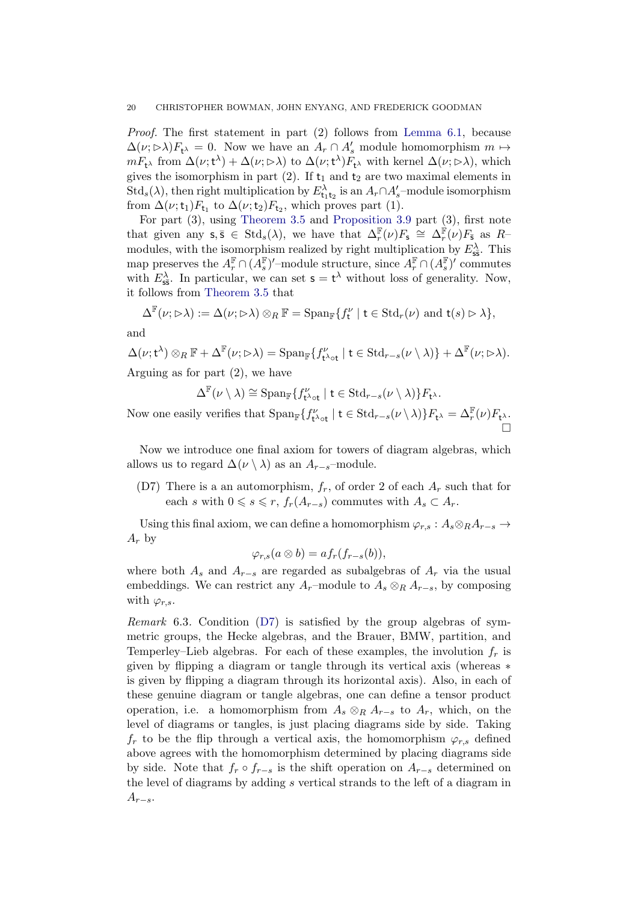Proof. The first statement in part (2) follows from [Lemma 6.1,](#page-18-0) because  $\Delta(\nu;\triangleright\lambda)F_{t^{\lambda}}=0$ . Now we have an  $A_r\cap A'_s$  module homomorphism  $m\mapsto$  $mF_{t^{\lambda}}$  from  $\Delta(\nu; t^{\lambda}) + \Delta(\nu; \rhd \lambda)$  to  $\Delta(\nu; t^{\lambda})F_{t^{\lambda}}$  with kernel  $\Delta(\nu; \rhd \lambda)$ , which gives the isomorphism in part (2). If  $t_1$  and  $t_2$  are two maximal elements in  $\mathrm{Std}_s(\lambda)$ , then right multiplication by  $E^{\lambda}_{\text{t}_1 \text{t}_2}$  is an  $A_r \cap A'_s$ -module isomorphism from  $\Delta(\nu; t_1) F_{t_1}$  to  $\Delta(\nu; t_2) F_{t_2}$ , which proves part (1).

For part (3), using [Theorem 3.5](#page-8-0) and [Proposition 3.9](#page-10-0) part (3), first note that given any  $s, \bar{s} \in \text{Std}_s(\lambda)$ , we have that  $\Delta_r^{\mathbb{F}}(\nu)F_s \cong \Delta_r^{\mathbb{F}}(\nu)F_{\bar{s}}$  as  $R$ modules, with the isomorphism realized by right multiplication by  $E^{\lambda}_{\text{ss}}$ . This map preserves the  $A_r^{\mathbb{F}} \cap (A_s^{\mathbb{F}})'$ -module structure, since  $A_r^{\mathbb{F}} \cap (A_s^{\mathbb{F}})'$  commutes with  $E_{\text{ss}}^{\lambda}$ . In particular, we can set  $\mathsf{s} = \mathsf{t}^{\lambda}$  without loss of generality. Now, it follows from [Theorem 3.5](#page-8-0) that

$$
\Delta^{\mathbb{F}}(\nu;\rhd\lambda):=\Delta(\nu;\rhd\lambda)\otimes_R\mathbb{F}=\mathrm{Span}_{\mathbb{F}}\{f_{\mathsf{t}}^{\nu}\mid \mathsf{t}\in \mathrm{Std}_r(\nu) \text{ and } \mathsf{t}(s)\rhd\lambda\},
$$

and

$$
\Delta(\nu; t^{\lambda}) \otimes_R \mathbb{F} + \Delta^{\mathbb{F}}(\nu; \rhd \lambda) = \text{Span}_{\mathbb{F}}\{f_{t^{\lambda} \circ t}^{\nu} \mid t \in \text{Std}_{r-s}(\nu \setminus \lambda)\} + \Delta^{\mathbb{F}}(\nu; \rhd \lambda).
$$
\nA running as for part (2) we have

Arguing as for part (2), we have

 $\Delta^{\mathbb{F}}(\nu \setminus \lambda) \cong \mathrm{Span}_{\mathbb{F}}\{f_{\mathsf{t}^{\lambda}\circ \mathsf{t}}^{\nu} \mid \mathsf{t} \in \mathrm{Std}_{r-s}(\nu \setminus \lambda)\}F_{\mathsf{t}^{\lambda}}.$ 

Now one easily verifies that  $\text{Span}_{\mathbb{F}}\{f_{\mathbf{t}^{\lambda}\circ\mathbf{t}}^{\nu} \mid \mathbf{t} \in \text{Std}_{r-s}(\nu \setminus \lambda)\}F_{\mathbf{t}^{\lambda}} = \Delta_r^{\mathbb{F}}(\nu)F_{\mathbf{t}^{\lambda}}.$  $\Box$ 

Now we introduce one final axiom for towers of diagram algebras, which allows us to regard  $\Delta(\nu \setminus \lambda)$  as an  $A_{r-s}$ –module.

(D7) There is a an automorphism,  $f_r$ , of order 2 of each  $A_r$  such that for each s with  $0 \le s \le r$ ,  $f_r(A_{r-s})$  commutes with  $A_s \subset A_r$ .

Using this final axiom, we can define a homomorphism  $\varphi_{r,s}: A_s \otimes_R A_{r-s} \to$  $A_r$  by

$$
\varphi_{r,s}(a\otimes b)=af_r(f_{r-s}(b)),
$$

<span id="page-20-0"></span>where both  $A_s$  and  $A_{r-s}$  are regarded as subalgebras of  $A_r$  via the usual embeddings. We can restrict any  $A_r$ –module to  $A_s \otimes_R A_{r-s}$ , by composing with  $\varphi_{r,s}$ .

*Remark* 6.3. Condition  $(D7)$  is satisfied by the group algebras of symmetric groups, the Hecke algebras, and the Brauer, BMW, partition, and Temperley–Lieb algebras. For each of these examples, the involution  $f_r$  is given by flipping a diagram or tangle through its vertical axis (whereas ∗ is given by flipping a diagram through its horizontal axis). Also, in each of these genuine diagram or tangle algebras, one can define a tensor product operation, i.e. a homomorphism from  $A_s \otimes_R A_{r-s}$  to  $A_r$ , which, on the level of diagrams or tangles, is just placing diagrams side by side. Taking  $f_r$  to be the flip through a vertical axis, the homomorphism  $\varphi_{r,s}$  defined above agrees with the homomorphism determined by placing diagrams side by side. Note that  $f_r \circ f_{r-s}$  is the shift operation on  $A_{r-s}$  determined on the level of diagrams by adding s vertical strands to the left of a diagram in  $A_{r-s}.$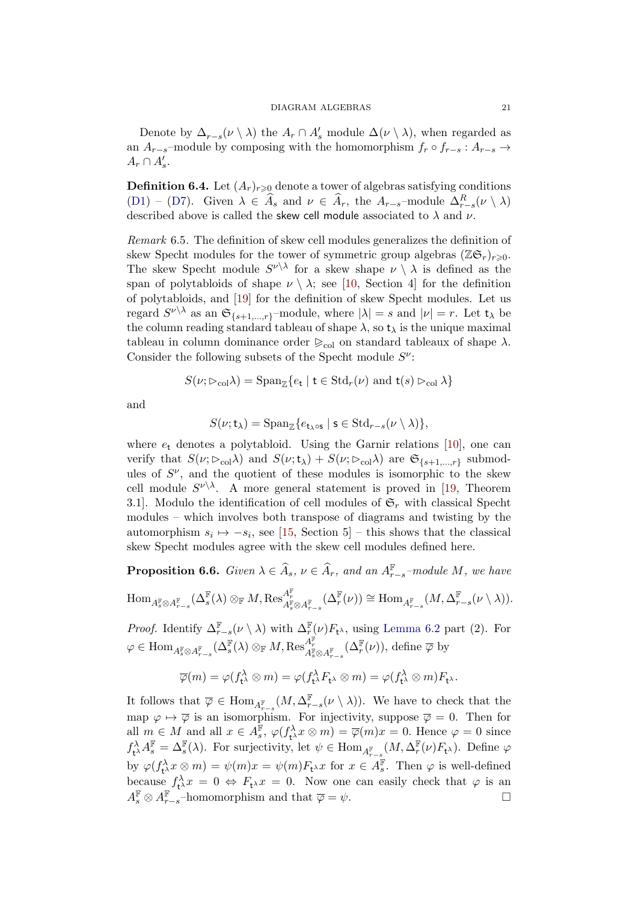#### <span id="page-21-1"></span><span id="page-21-0"></span>DIAGRAM ALGEBRAS 21

Denote by  $\Delta_{r-s}(\nu \setminus \lambda)$  the  $A_r \cap A'_s$  module  $\Delta(\nu \setminus \lambda)$ , when regarded as an  $A_{r-s}$ –module by composing with the homomorphism  $f_r \circ f_{r-s} : A_{r-s} \to$  $A_r \cap A'_s$ .

**Definition 6.4.** Let  $(A_r)_{r\geqslant0}$  denote a tower of algebras satisfying conditions [\(D1\)](#page-4-0) – [\(D7\)](#page-19-0). Given  $\lambda \in \widehat{A}_s$  and  $\nu \in \widehat{A}_r$ , the  $A_{r-s}$ –module  $\Delta_{r-s}^R(\nu \setminus \lambda)$ described above is called the skew cell module associated to  $\lambda$  and  $\nu$ .

Remark 6.5. The definition of skew cell modules generalizes the definition of skew Specht modules for the tower of symmetric group algebras  $(\mathbb{Z} \mathfrak{S}_r)_{r \geq 0}$ . The skew Specht module  $S^{\nu \backslash \lambda}$  for a skew shape  $\nu \backslash \lambda$  is defined as the span of polytabloids of shape  $\nu \setminus \lambda$ ; see [\[10,](#page-22-11) Section 4] for the definition of polytabloids, and [\[19\]](#page-23-4) for the definition of skew Specht modules. Let us regard  $S^{\nu \backslash \lambda}$  as an  $\mathfrak{S}_{\{s+1,\dots,r\}}$ -module, where  $|\lambda| = s$  and  $|\nu| = r$ . Let  $\mathsf{t}_{\lambda}$  be the column reading standard tableau of shape  $\lambda$ , so  $t_{\lambda}$  is the unique maximal tableau in column dominance order  $\geq_{\text{col}}$  on standard tableaux of shape  $\lambda$ . Consider the following subsets of the Specht module  $S^{\nu}$ :

$$
S(\nu;\rhd_{\mathrm{col}}\lambda)=\mathrm{Span}_{\mathbb{Z}}\{e_{\mathbf{t}}\mid \mathbf{t}\in \mathrm{Std}_r(\nu) \text{ and } \mathbf{t}(s)\rhd_{\mathrm{col}}\lambda\}
$$

and

$$
S(\nu;\mathsf{t}_{\lambda}) = \mathrm{Span}_{\mathbb{Z}}\{e_{\mathsf{t}_{\lambda}\circ\mathsf{s}} \mid \mathsf{s} \in \mathrm{Std}_{r-s}(\nu \setminus \lambda)\},
$$

where  $e_t$  denotes a polytabloid. Using the Garnir relations [\[10\]](#page-22-11), one can verify that  $S(\nu; \infty_{\text{col}}\lambda)$  and  $S(\nu; t_{\lambda}) + S(\nu; \infty_{\text{col}}\lambda)$  are  $\mathfrak{S}_{\{s+1,\dots,r\}}$  submodules of  $S^{\nu}$ , and the quotient of these modules is isomorphic to the skew cell module  $S^{\nu \backslash \lambda}$ . A more general statement is proved in [\[19,](#page-23-4) Theorem 3.1. Modulo the identification of cell modules of  $\mathfrak{S}_r$  with classical Specht modules – which involves both transpose of diagrams and twisting by the automorphism  $s_i \mapsto -s_i$ , see [\[15,](#page-23-1) Section 5] – this shows that the classical skew Specht modules agree with the skew cell modules defined here.

**Proposition 6.6.** Given  $\lambda \in \widehat{A}_s$ ,  $\nu \in \widehat{A}_r$ , and an  $A_{r-s}^{\mathbb{F}}$ -module  $M$ , we have

<span id="page-21-2"></span>
$$
\mathrm{Hom}_{A_s^{\mathbb{F}} \otimes A_{r-s}^{\mathbb{F}}}(\Delta_s^{\mathbb{F}}(\lambda) \otimes_{\mathbb{F}} M, \mathrm{Res}^{A_r^{\mathbb{F}}}_{A_s^{\mathbb{F}} \otimes A_{r-s}^{\mathbb{F}}}(\Delta_r^{\mathbb{F}}(\nu)) \cong \mathrm{Hom}_{A_{r-s}^{\mathbb{F}}}(M, \Delta_{r-s}^{\mathbb{F}}(\nu \setminus \lambda)).
$$

*Proof.* Identify  $\Delta_{r-s}^{\mathbb{F}}(\nu \setminus \lambda)$  with  $\Delta_r^{\mathbb{F}}(\nu)F_{t^{\lambda}}$ , using [Lemma 6.2](#page-18-1) part (2). For  $\varphi \in \text{Hom}_{A_s^{\mathbb{F}} \otimes A_{r-s}^{\mathbb{F}}}(\Delta_s^{\mathbb{F}}(\lambda) \otimes_{\mathbb{F}} M, \text{Res}_{A_s^{\mathbb{F}} \otimes A_{r-s}^{\mathbb{F}}}^{A_r^{\mathbb{F}}}(\Delta_r^{\mathbb{F}}(\nu)), \text{ define } \overline{\varphi} \text{ by }$ 

$$
\overline{\varphi}(m) = \varphi(f_{\mathsf{t}^{\lambda}}^{\lambda} \otimes m) = \varphi(f_{\mathsf{t}^{\lambda}}^{\lambda} F_{\mathsf{t}^{\lambda}} \otimes m) = \varphi(f_{\mathsf{t}^{\lambda}}^{\lambda} \otimes m) F_{\mathsf{t}^{\lambda}}.
$$

It follows that  $\overline{\varphi} \in \text{Hom}_{A_{r-s}^{\mathbb{F}}}(M, \Delta_{r-s}^{\mathbb{F}}(\nu \setminus \lambda)).$  We have to check that the map  $\varphi \mapsto \overline{\varphi}$  is an isomorphism. For injectivity, suppose  $\overline{\varphi} = 0$ . Then for all  $m \in M$  and all  $x \in A_s^{\mathbb{F}}$ ,  $\varphi(f_{\mathsf{t}}^{\lambda} x \otimes m) = \overline{\varphi}(m)x = 0$ . Hence  $\varphi = 0$  since  $f_{\mathsf{t}}^{\lambda} A_s^{\mathbb{F}} = \Delta_s^{\mathbb{F}}(\lambda)$ . For surjectivity, let  $\psi \in \text{Hom}_{A_{r-s}^{\mathbb{F}}}(M, \Delta_r^{\mathbb{F}}(\nu)F_{\mathsf{t}})$ . Define  $\varphi$ by  $\varphi(f_{\mathbf{t}}^{\lambda} x \otimes m) = \psi(m)x = \psi(m)F_{\mathbf{t}}^{\lambda} x$  for  $x \in A_{s}^{\mathbb{F}}$ . Then  $\varphi$  is well-defined because  $f_{t^{\lambda}}^{\lambda} x = 0 \Leftrightarrow F_{t^{\lambda}} x = 0$ . Now one can easily check that  $\varphi$  is an  $A_s^{\mathbb{F}} \otimes A_{r-s}^{\mathbb{F}}$ -homomorphism and that  $\overline{\varphi} = \psi$ .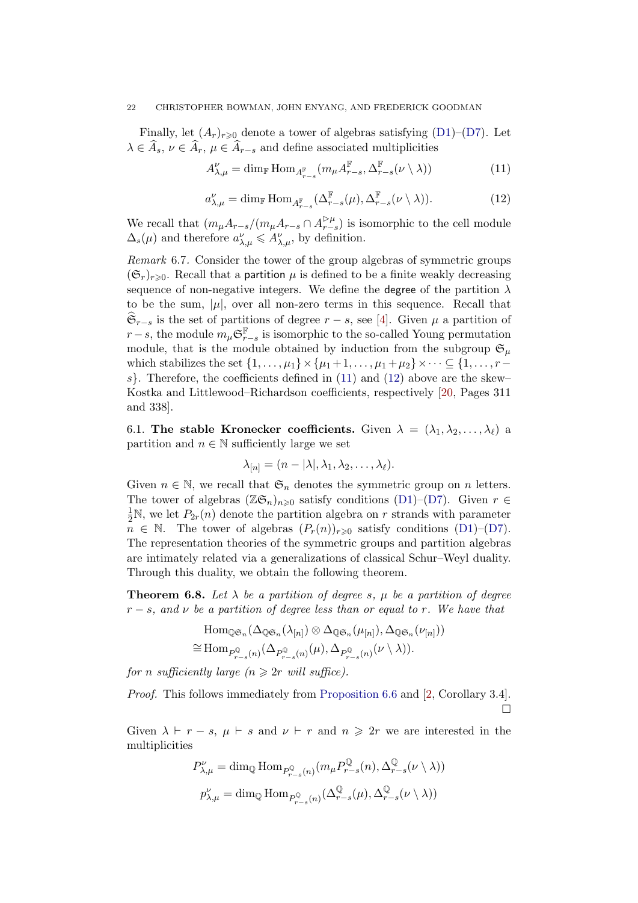Finally, let  $(A_r)_{r\geqslant0}$  denote a tower of algebras satisfying [\(D1\)](#page-4-0)–[\(D7\)](#page-19-0). Let  $\lambda \in \widehat{A}_s, \nu \in \widehat{A}_r, \mu \in \widehat{A}_{r-s}$  and define associated multiplicities

$$
A_{\lambda,\mu}^{\nu} = \dim_{\mathbb{F}} \text{Hom}_{A_{r-s}^{\mathbb{F}}} (m_{\mu} A_{r-s}^{\mathbb{F}}, \Delta_{r-s}^{\mathbb{F}} (\nu \setminus \lambda)) \tag{11}
$$

$$
a_{\lambda,\mu}^{\nu} = \dim_{\mathbb{F}} \text{Hom}_{A_{r-s}^{\mathbb{F}}}(\Delta_{r-s}^{\mathbb{F}}(\mu), \Delta_{r-s}^{\mathbb{F}}(\nu \setminus \lambda)). \tag{12}
$$

We recall that  $(m_{\mu}A_{r-s}/(m_{\mu}A_{r-s}\cap A_{r-s}^{\rhd \mu}))$  $\sum_{r-s}^{\triangleright\mu}$  is isomorphic to the cell module  $\Delta_s(\mu)$  and therefore  $a_{\lambda,\mu}^{\nu} \leq A_{\lambda,\mu}^{\nu}$ , by definition.

Remark 6.7. Consider the tower of the group algebras of symmetric groups  $(\mathfrak{S}_r)_{r\geqslant 0}$ . Recall that a partition  $\mu$  is defined to be a finite weakly decreasing sequence of non-negative integers. We define the **degree** of the partition  $\lambda$ to be the sum,  $|\mu|$ , over all non-zero terms in this sequence. Recall that  $\mathfrak{S}_{r-s}$  is the set of partitions of degree  $r-s$ , see [\[4\]](#page-22-0). Given  $\mu$  a partition of  $r-s$ , the module  $m_\mu \mathfrak{S}^{\mathbb{F}}_{r-s}$  is isomorphic to the so-called Young permutation module, that is the module obtained by induction from the subgroup  $\mathfrak{S}_{\mu}$ which stabilizes the set  $\{1, \ldots, \mu_1\} \times {\{\mu_1+1, \ldots, \mu_1+\mu_2\}} \times \cdots \subseteq \{1, \ldots, r-1\}$ s}. Therefore, the coefficients defined in  $(11)$  and  $(12)$  above are the skew-Kostka and Littlewood–Richardson coefficients, respectively [\[20,](#page-23-5) Pages 311 and 338].

6.1. The stable Kronecker coefficients. Given  $\lambda = (\lambda_1, \lambda_2, \dots, \lambda_\ell)$  a partition and  $n \in \mathbb{N}$  sufficiently large we set

$$
\lambda_{[n]} = (n - |\lambda|, \lambda_1, \lambda_2, \dots, \lambda_\ell).
$$

<span id="page-22-12"></span><span id="page-22-3"></span><span id="page-22-2"></span><span id="page-22-0"></span>Given  $n \in \mathbb{N}$ , we recall that  $\mathfrak{S}_n$  denotes the symmetric group on n letters. The tower of algebras  $(\mathbb{Z}\mathfrak{S}_n)_{n\geqslant0}$  satisfy conditions [\(D1\)](#page-4-0)–[\(D7\)](#page-19-0). Given  $r \in$  $\frac{1}{2}$ N, we let  $P_{2r}(n)$  denote the partition algebra on r strands with parameter  $n \in \mathbb{N}$ . The tower of algebras  $(P_r(n))_{r\geq 0}$  satisfy conditions  $(D1)$ – $(D7)$ . The representation theories of the symmetric groups and partition algebras are intimately related via a generalizations of classical Schur–Weyl duality. Through this duality, we obtain the following theorem.

<span id="page-22-9"></span><span id="page-22-7"></span><span id="page-22-6"></span><span id="page-22-5"></span>**Theorem 6.8.** Let  $\lambda$  be a partition of degree s,  $\mu$  be a partition of degree  $r - s$ , and v be a partition of degree less than or equal to r. We have that

$$
\text{Hom}_{\mathbb{Q}\mathfrak{S}_n}(\Delta_{\mathbb{Q}\mathfrak{S}_n}(\lambda_{[n]}) \otimes \Delta_{\mathbb{Q}\mathfrak{S}_n}(\mu_{[n]}), \Delta_{\mathbb{Q}\mathfrak{S}_n}(\nu_{[n]}))
$$
  

$$
\cong \text{Hom}_{P_{r-s}^{\mathbb{Q}}(n)}(\Delta_{P_{r-s}^{\mathbb{Q}}(n)}(\mu), \Delta_{P_{r-s}^{\mathbb{Q}}(n)}(\nu \setminus \lambda)).
$$

<span id="page-22-11"></span><span id="page-22-4"></span>for n sufficiently large  $(n \geq 2r \text{ will suffice}).$ 

<span id="page-22-1"></span>*Proof.* This follows immediately from [Proposition 6.6](#page-20-0) and [\[2,](#page-22-12) Corollary 3.4].  $\Box$ 

<span id="page-22-10"></span><span id="page-22-8"></span>Given  $\lambda \vdash r - s$ ,  $\mu \vdash s$  and  $\nu \vdash r$  and  $n \geq 2r$  we are interested in the multiplicities

$$
P_{\lambda,\mu}^{\nu} = \dim_{\mathbb{Q}} \text{Hom}_{P_{r-s}^{\mathbb{Q}}(n)}(m_{\mu}P_{r-s}^{\mathbb{Q}}(n), \Delta_{r-s}^{\mathbb{Q}}(\nu \setminus \lambda))
$$

$$
p_{\lambda,\mu}^{\nu} = \dim_{\mathbb{Q}} \text{Hom}_{P_{r-s}^{\mathbb{Q}}(n)}(\Delta_{r-s}^{\mathbb{Q}}(\mu), \Delta_{r-s}^{\mathbb{Q}}(\nu \setminus \lambda))
$$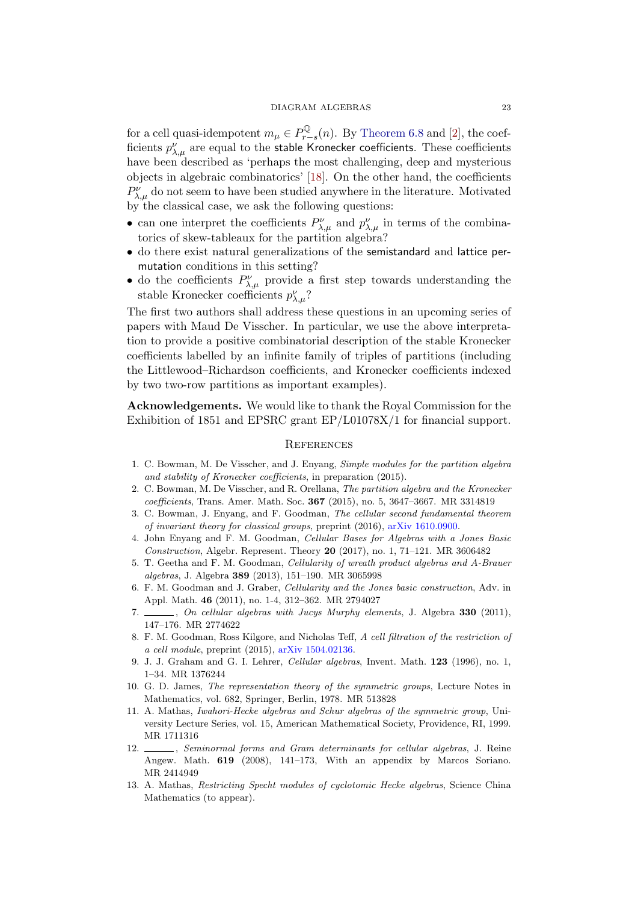#### DIAGRAM ALGEBRAS 23

<span id="page-23-1"></span><span id="page-23-0"></span>for a cell quasi-idempotent  $m_{\mu} \in P_{r}^{\mathbb{Q}}$  $r_{r-s}^{v_{\mathcal{L}}}(n)$ . By [Theorem 6.8](#page-21-2) and [\[2\]](#page-22-12), the coefficients  $p_{\lambda,\mu}^{\nu}$  are equal to the stable Kronecker coefficients. These coefficients have been described as 'perhaps the most challenging, deep and mysterious objects in algebraic combinatorics' [\[18\]](#page-23-6). On the other hand, the coefficients  $P_{\lambda,\mu}^{\nu}$  do not seem to have been studied anywhere in the literature. Motivated by the classical case, we ask the following questions:

- <span id="page-23-6"></span><span id="page-23-3"></span><span id="page-23-2"></span>• can one interpret the coefficients  $P_{\lambda,\mu}^{\nu}$  and  $p_{\lambda,\mu}^{\nu}$  in terms of the combinatorics of skew-tableaux for the partition algebra?
- <span id="page-23-4"></span>• do there exist natural generalizations of the semistandard and lattice permutation conditions in this setting?
- <span id="page-23-5"></span>• do the coefficients  $P_{\lambda,\mu}^{\nu}$  provide a first step towards understanding the stable Kronecker coefficients  $p_{\lambda,\mu}^{\nu}$ ?

The first two authors shall address these questions in an upcoming series of papers with Maud De Visscher. In particular, we use the above interpretation to provide a positive combinatorial description of the stable Kronecker coefficients labelled by an infinite family of triples of partitions (including the Littlewood–Richardson coefficients, and Kronecker coefficients indexed by two two-row partitions as important examples).

Acknowledgements. We would like to thank the Royal Commission for the Exhibition of 1851 and EPSRC grant EP/L01078X/1 for financial support.

#### **REFERENCES**

- 1. C. Bowman, M. De Visscher, and J. Enyang, Simple modules for the partition algebra and stability of Kronecker coefficients, in preparation (2015).
- 2. C. Bowman, M. De Visscher, and R. Orellana, The partition algebra and the Kronecker coefficients, Trans. Amer. Math. Soc. 367 (2015), no. 5, 3647–3667. MR 3314819
- 3. C. Bowman, J. Enyang, and F. Goodman, The cellular second fundamental theorem of invariant theory for classical groups, preprint (2016), [arXiv 1610.0900.](http://arxiv.org/abs/1610.0900)
- 4. John Enyang and F. M. Goodman, Cellular Bases for Algebras with a Jones Basic Construction, Algebr. Represent. Theory 20  $(2017)$ , no. 1, 71–121. MR 3606482
- 5. T. Geetha and F. M. Goodman, Cellularity of wreath product algebras and A-Brauer algebras, J. Algebra 389 (2013), 151–190. MR 3065998
- 6. F. M. Goodman and J. Graber, Cellularity and the Jones basic construction, Adv. in Appl. Math. 46 (2011), no. 1-4, 312–362. MR 2794027
- 7.  $\frac{1}{2}$ , On cellular algebras with Jucys Murphy elements, J. Algebra 330 (2011), 147–176. MR 2774622
- 8. F. M. Goodman, Ross Kilgore, and Nicholas Teff, A cell filtration of the restriction of a cell module, preprint (2015), [arXiv 1504.02136.](http://arxiv.org/abs/1504.02136)
- 9. J. J. Graham and G. I. Lehrer, Cellular algebras, Invent. Math. 123 (1996), no. 1, 1–34. MR 1376244
- 10. G. D. James, The representation theory of the symmetric groups, Lecture Notes in Mathematics, vol. 682, Springer, Berlin, 1978. MR 513828
- 11. A. Mathas, Iwahori-Hecke algebras and Schur algebras of the symmetric group, University Lecture Series, vol. 15, American Mathematical Society, Providence, RI, 1999. MR 1711316
- 12. Seminormal forms and Gram determinants for cellular algebras, J. Reine Angew. Math. 619 (2008), 141–173, With an appendix by Marcos Soriano. MR 2414949
- 13. A. Mathas, Restricting Specht modules of cyclotomic Hecke algebras, Science China Mathematics (to appear).